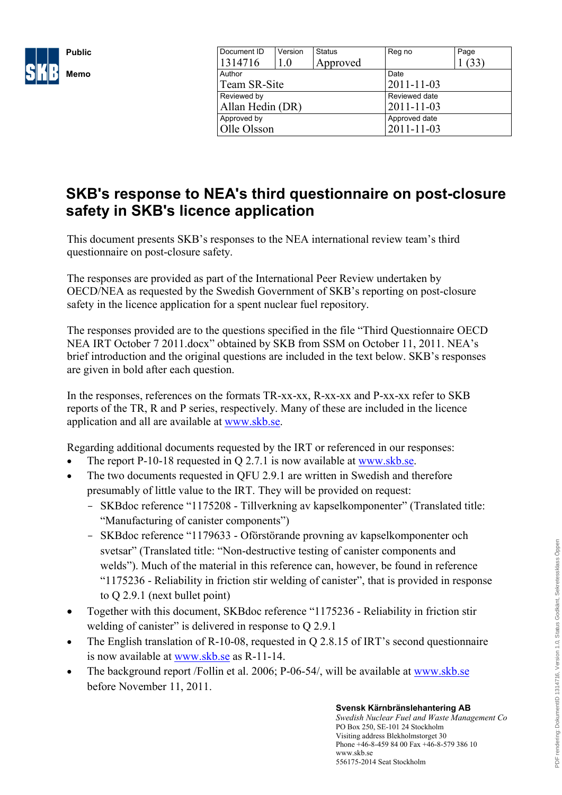

| Document ID      | Version | <b>Status</b> | Reg no           | Page |
|------------------|---------|---------------|------------------|------|
| 1314716          | 1.0     | Approved      |                  |      |
| Author           |         |               | Date             |      |
| Team SR-Site     |         |               | $2011 - 11 - 03$ |      |
| Reviewed by      |         |               | Reviewed date    |      |
| Allan Hedin (DR) |         |               | 2011-11-03       |      |
| Approved by      |         |               | Approved date    |      |
| Olle Olsson      |         |               | 2011-11-03       |      |

# **SKB's response to NEA's third questionnaire on post-closure safety in SKB's licence application**

This document present[s SKB's respo](http://www.skb.se)nses to the NEA internatio[nal review team's third](http://www.skb.se)  questionnaire on post-closure safety.

The responses are provided as part of the International Peer Review undertaken by OECD/NEA as requested by the Swedish Government of SKB's reporting on post-closure safety in the licence application for a spent nuclear fuel repository.

The responses provided are to the questions specified in the file "Third Questionnaire OECD NEA IRT October 7 2011.docx" obtained by SKB from SSM on October 11, 2011. NEA's brief introduction and the original questions are included in the text below. SKB's responses are given in bold after each question.

In the responses, references on the formats TR-xx-xx, R-xx-xx and P-xx-xx refer to SKB reports of the TR, R and P series, respectively. Many of these are included in the licence application and all are available at [www.skb.se.](http://www.skb.se)

Regarding additional documents requested by the IRT or referenced in our responses:

- The report P-10-18 requested in Q 2.7.1 is now available at www.skb.se.
- The two documents requested in QFU 2.9.1 are written in Swedish and therefore presumably of little value to the IRT. They will be provided on request:
	- SKBdoc reference "1175208 Tillverkning av kapselkomponenter" (Translated title: "Manufacturing of canister components")
	- SKBdoc reference "1179633 Oförstörande provning av kapselkomponenter och svetsar" (Translated title: "Non-destructive testing of canister components and welds"). Much of the material in this reference can, however, be found in reference "1175236 - Reliability in friction stir welding of canister", that is provided in response to Q 2.9.1 (next bullet point)
- Together with this document, SKBdoc reference "1175236 Reliability in friction stir welding of canister" is delivered in response to O 2.9.1
- The English translation of R-10-08, requested in Q 2.8.15 of IRT's second questionnaire is now available at www.skb.se as R-11-14.
- The background report /Follin et al. 2006; P-06-54/, will be available at www.skb.se before November 11, 2011.

#### **Svensk Kärnbränslehantering AB**

*Swedish Nuclear Fuel and Waste Management Co* PO Box 250, SE-101 24 Stockholm Visiting address Blekholmstorget 30 Phone +46-8-459 84 00 Fax +46-8-579 386 10 www.skb.se 556175-2014 Seat Stockholm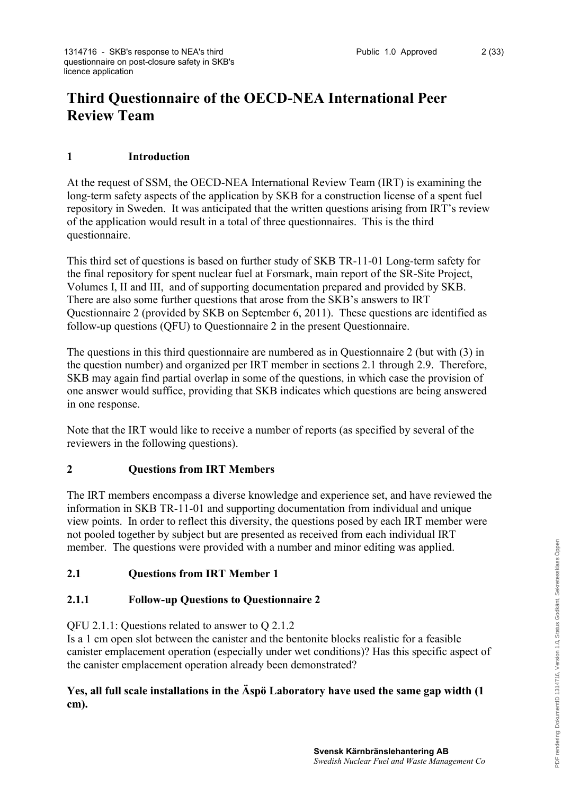# **Third Questionnaire of the OECD-NEA International Peer Review Team**

# **1 Introduction**

At the request of SSM, the OECD-NEA International Review Team (IRT) is examining the long-term safety aspects of the application by SKB for a construction license of a spent fuel repository in Sweden. It was anticipated that the written questions arising from IRT's review of the application would result in a total of three questionnaires. This is the third questionnaire.

This third set of questions is based on further study of SKB TR-11-01 Long-term safety for the final repository for spent nuclear fuel at Forsmark, main report of the SR-Site Project, Volumes I, II and III, and of supporting documentation prepared and provided by SKB. There are also some further questions that arose from the SKB's answers to IRT Questionnaire 2 (provided by SKB on September 6, 2011). These questions are identified as follow-up questions (QFU) to Questionnaire 2 in the present Questionnaire.

The questions in this third questionnaire are numbered as in Questionnaire 2 (but with (3) in the question number) and organized per IRT member in sections 2.1 through 2.9. Therefore, SKB may again find partial overlap in some of the questions, in which case the provision of one answer would suffice, providing that SKB indicates which questions are being answered in one response.

Note that the IRT would like to receive a number of reports (as specified by several of the reviewers in the following questions).

## **2 Questions from IRT Members**

The IRT members encompass a diverse knowledge and experience set, and have reviewed the information in SKB TR-11-01 and supporting documentation from individual and unique view points. In order to reflect this diversity, the questions posed by each IRT member were not pooled together by subject but are presented as received from each individual IRT member. The questions were provided with a number and minor editing was applied.

# **2.1 Questions from IRT Member 1**

# **2.1.1 Follow-up Questions to Questionnaire 2**

QFU 2.1.1: Questions related to answer to Q 2.1.2

Is a 1 cm open slot between the canister and the bentonite blocks realistic for a feasible canister emplacement operation (especially under wet conditions)? Has this specific aspect of the canister emplacement operation already been demonstrated?

# **Yes, all full scale installations in the Äspö Laboratory have used the same gap width (1 cm).**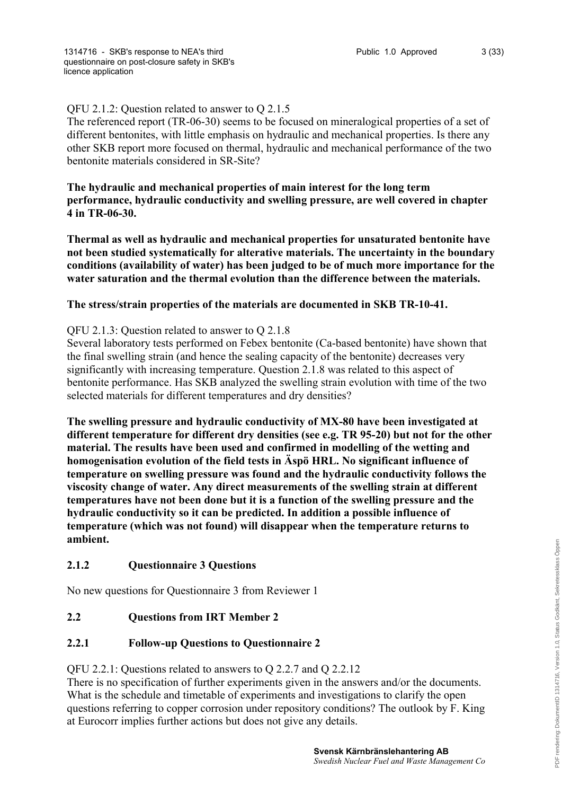# QFU 2.1.2: Question related to answer to Q 2.1.5

The referenced report (TR-06-30) seems to be focused on mineralogical properties of a set of different bentonites, with little emphasis on hydraulic and mechanical properties. Is there any other SKB report more focused on thermal, hydraulic and mechanical performance of the two bentonite materials considered in SR-Site?

## **The hydraulic and mechanical properties of main interest for the long term performance, hydraulic conductivity and swelling pressure, are well covered in chapter 4 in TR-06-30.**

**Thermal as well as hydraulic and mechanical properties for unsaturated bentonite have not been studied systematically for alterative materials. The uncertainty in the boundary conditions (availability of water) has been judged to be of much more importance for the water saturation and the thermal evolution than the difference between the materials.**

## **The stress/strain properties of the materials are documented in SKB TR-10-41.**

## QFU 2.1.3: Question related to answer to Q 2.1.8

Several laboratory tests performed on Febex bentonite (Ca-based bentonite) have shown that the final swelling strain (and hence the sealing capacity of the bentonite) decreases very significantly with increasing temperature. Question 2.1.8 was related to this aspect of bentonite performance. Has SKB analyzed the swelling strain evolution with time of the two selected materials for different temperatures and dry densities?

**The swelling pressure and hydraulic conductivity of MX-80 have been investigated at different temperature for different dry densities (see e.g. TR 95-20) but not for the other material. The results have been used and confirmed in modelling of the wetting and homogenisation evolution of the field tests in Äspö HRL. No significant influence of temperature on swelling pressure was found and the hydraulic conductivity follows the viscosity change of water. Any direct measurements of the swelling strain at different temperatures have not been done but it is a function of the swelling pressure and the hydraulic conductivity so it can be predicted. In addition a possible influence of temperature (which was not found) will disappear when the temperature returns to ambient.**

## **2.1.2 Questionnaire 3 Questions**

No new questions for Questionnaire 3 from Reviewer 1

## **2.2 Questions from IRT Member 2**

## **2.2.1 Follow-up Questions to Questionnaire 2**

## QFU 2.2.1: Questions related to answers to Q 2.2.7 and Q 2.2.12

There is no specification of further experiments given in the answers and/or the documents. What is the schedule and timetable of experiments and investigations to clarify the open questions referring to copper corrosion under repository conditions? The outlook by F. King at Eurocorr implies further actions but does not give any details.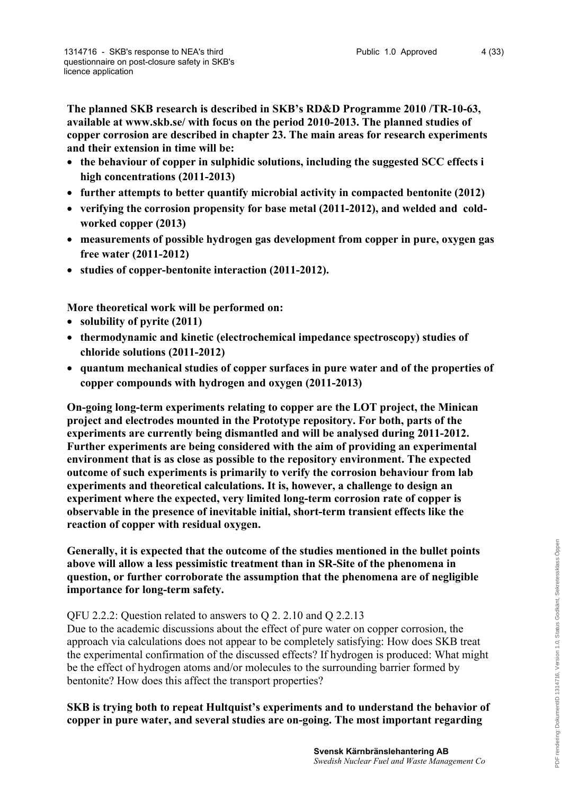**The planned SKB research is described in SKB's RD&D Programme 2010 /TR-10-63, available at www.skb.se/ with focus on the period 2010-2013. The planned studies of copper corrosion are described in chapter 23. The main areas for research experiments and their extension in time will be:**

- **the behaviour of copper in sulphidic solutions, including the suggested SCC effects i high concentrations (2011-2013)**
- **further attempts to better quantify microbial activity in compacted bentonite (2012)**
- verifying the corrosion propensity for base metal (2011-2012), and welded and cold**worked copper (2013)**
- **measurements of possible hydrogen gas development from copper in pure, oxygen gas free water (2011-2012)**
- **studies of copper-bentonite interaction (2011-2012).**

**More theoretical work will be performed on:**

- **solubility of pyrite (2011)**
- **thermodynamic and kinetic (electrochemical impedance spectroscopy) studies of chloride solutions (2011-2012)**
- **quantum mechanical studies of copper surfaces in pure water and of the properties of copper compounds with hydrogen and oxygen (2011-2013)**

**On-going long-term experiments relating to copper are the LOT project, the Minican project and electrodes mounted in the Prototype repository. For both, parts of the experiments are currently being dismantled and will be analysed during 2011-2012. Further experiments are being considered with the aim of providing an experimental environment that is as close as possible to the repository environment. The expected outcome of such experiments is primarily to verify the corrosion behaviour from lab experiments and theoretical calculations. It is, however, a challenge to design an experiment where the expected, very limited long-term corrosion rate of copper is observable in the presence of inevitable initial, short-term transient effects like the reaction of copper with residual oxygen.**

**Generally, it is expected that the outcome of the studies mentioned in the bullet points above will allow a less pessimistic treatment than in SR-Site of the phenomena in question, or further corroborate the assumption that the phenomena are of negligible importance for long-term safety.**

## QFU 2.2.2: Question related to answers to Q 2. 2.10 and Q 2.2.13

Due to the academic discussions about the effect of pure water on copper corrosion, the approach via calculations does not appear to be completely satisfying: How does SKB treat the experimental confirmation of the discussed effects? If hydrogen is produced: What might be the effect of hydrogen atoms and/or molecules to the surrounding barrier formed by bentonite? How does this affect the transport properties?

**SKB is trying both to repeat Hultquist's experiments and to understand the behavior of copper in pure water, and several studies are on-going. The most important regarding**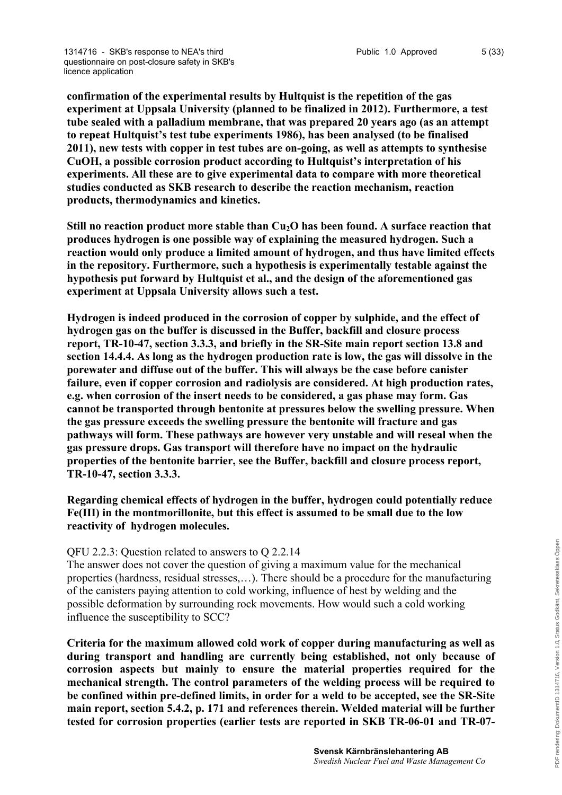**confirmation of the experimental results by Hultquist is the repetition of the gas experiment at Uppsala University (planned to be finalized in 2012). Furthermore, a test tube sealed with a palladium membrane, that was prepared 20 years ago (as an attempt to repeat Hultquist's test tube experiments 1986), has been analysed (to be finalised 2011), new tests with copper in test tubes are on-going, as well as attempts to synthesise CuOH, a possible corrosion product according to Hultquist's interpretation of his experiments. All these are to give experimental data to compare with more theoretical studies conducted as SKB research to describe the reaction mechanism, reaction products, thermodynamics and kinetics.**

**Still no reaction product more stable than Cu2O has been found. A surface reaction that produces hydrogen is one possible way of explaining the measured hydrogen. Such a reaction would only produce a limited amount of hydrogen, and thus have limited effects in the repository. Furthermore, such a hypothesis is experimentally testable against the hypothesis put forward by Hultquist et al., and the design of the aforementioned gas experiment at Uppsala University allows such a test.** 

**Hydrogen is indeed produced in the corrosion of copper by sulphide, and the effect of hydrogen gas on the buffer is discussed in the Buffer, backfill and closure process report, TR-10-47, section 3.3.3, and briefly in the SR-Site main report section 13.8 and section 14.4.4. As long as the hydrogen production rate is low, the gas will dissolve in the porewater and diffuse out of the buffer. This will always be the case before canister failure, even if copper corrosion and radiolysis are considered. At high production rates, e.g. when corrosion of the insert needs to be considered, a gas phase may form. Gas cannot be transported through bentonite at pressures below the swelling pressure. When the gas pressure exceeds the swelling pressure the bentonite will fracture and gas pathways will form. These pathways are however very unstable and will reseal when the gas pressure drops. Gas transport will therefore have no impact on the hydraulic properties of the bentonite barrier, see the Buffer, backfill and closure process report, TR-10-47, section 3.3.3.**

**Regarding chemical effects of hydrogen in the buffer, hydrogen could potentially reduce Fe(III) in the montmorillonite, but this effect is assumed to be small due to the low reactivity of hydrogen molecules.** 

## QFU 2.2.3: Question related to answers to Q 2.2.14

The answer does not cover the question of giving a maximum value for the mechanical properties (hardness, residual stresses,…). There should be a procedure for the manufacturing of the canisters paying attention to cold working, influence of hest by welding and the possible deformation by surrounding rock movements. How would such a cold working influence the susceptibility to SCC?

**Criteria for the maximum allowed cold work of copper during manufacturing as well as during transport and handling are currently being established, not only because of corrosion aspects but mainly to ensure the material properties required for the mechanical strength. The control parameters of the welding process will be required to be confined within pre-defined limits, in order for a weld to be accepted, see the SR-Site main report, section 5.4.2, p. 171 and references therein. Welded material will be further tested for corrosion properties (earlier tests are reported in SKB TR-06-01 and TR-07-**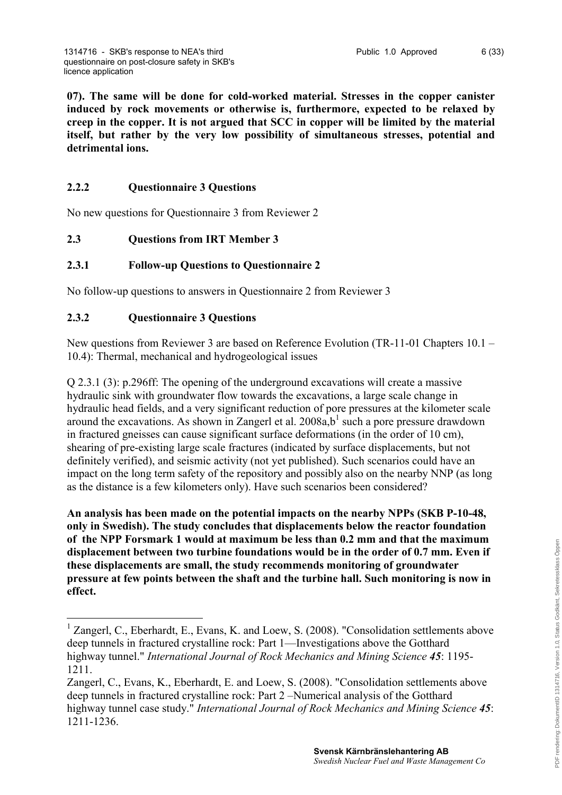**07). The same will be done for cold-worked material. Stresses in the copper canister induced by rock movements or otherwise is, furthermore, expected to be relaxed by creep in the copper. It is not argued that SCC in copper will be limited by the material itself, but rather by the very low possibility of simultaneous stresses, potential and detrimental ions.** 

# **2.2.2 Questionnaire 3 Questions**

No new questions for Questionnaire 3 from Reviewer 2

## **2.3 Questions from IRT Member 3**

## **2.3.1 Follow-up Questions to Questionnaire 2**

No follow-up questions to answers in Questionnaire 2 from Reviewer 3

## **2.3.2 Questionnaire 3 Questions**

1

New questions from Reviewer 3 are based on Reference Evolution (TR-11-01 Chapters 10.1 – 10.4): Thermal, mechanical and hydrogeological issues

Q 2.3.1 (3): p.296ff: The opening of the underground excavations will create a massive hydraulic sink with groundwater flow towards the excavations, a large scale change in hydraulic head fields, and a very significant reduction of pore pressures at the kilometer scale around the excavations. As shown in Zangerl et al.  $2008a,b<sup>1</sup>$  $2008a,b<sup>1</sup>$  $2008a,b<sup>1</sup>$  such a pore pressure drawdown in fractured gneisses can cause significant surface deformations (in the order of 10 cm), shearing of pre-existing large scale fractures (indicated by surface displacements, but not definitely verified), and seismic activity (not yet published). Such scenarios could have an impact on the long term safety of the repository and possibly also on the nearby NNP (as long as the distance is a few kilometers only). Have such scenarios been considered?

**An analysis has been made on the potential impacts on the nearby NPPs (SKB P-10-48, only in Swedish). The study concludes that displacements below the reactor foundation of the NPP Forsmark 1 would at maximum be less than 0.2 mm and that the maximum displacement between two turbine foundations would be in the order of 0.7 mm. Even if these displacements are small, the study recommends monitoring of groundwater pressure at few points between the shaft and the turbine hall. Such monitoring is now in effect.**

<span id="page-5-0"></span><sup>&</sup>lt;sup>1</sup> Zangerl, C., Eberhardt, E., Evans, K. and Loew, S. (2008). "Consolidation settlements above deep tunnels in fractured crystalline rock: Part 1—Investigations above the Gotthard highway tunnel." *International Journal of Rock Mechanics and Mining Science 45*: 1195- 1211.

Zangerl, C., Evans, K., Eberhardt, E. and Loew, S. (2008). "Consolidation settlements above deep tunnels in fractured crystalline rock: Part 2 –Numerical analysis of the Gotthard highway tunnel case study." *International Journal of Rock Mechanics and Mining Science 45*: 1211-1236.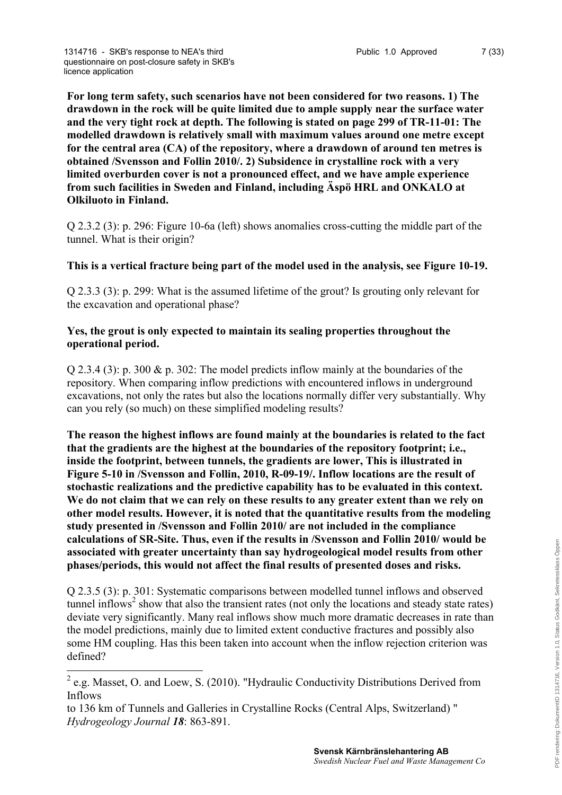**For long term safety, such scenarios have not been considered for two reasons. 1) The drawdown in the rock will be quite limited due to ample supply near the surface water and the very tight rock at depth. The following is stated on page 299 of TR-11-01: The modelled drawdown is relatively small with maximum values around one metre except for the central area (CA) of the repository, where a drawdown of around ten metres is obtained /Svensson and Follin 2010/. 2) Subsidence in crystalline rock with a very limited overburden cover is not a pronounced effect, and we have ample experience from such facilities in Sweden and Finland, including Äspö HRL and ONKALO at Olkiluoto in Finland.**

Q 2.3.2 (3): p. 296: Figure 10-6a (left) shows anomalies cross-cutting the middle part of the tunnel. What is their origin?

## **This is a vertical fracture being part of the model used in the analysis, see Figure 10-19.**

Q 2.3.3 (3): p. 299: What is the assumed lifetime of the grout? Is grouting only relevant for the excavation and operational phase?

## **Yes, the grout is only expected to maintain its sealing properties throughout the operational period.**

Q 2.3.4 (3): p. 300 & p. 302: The model predicts inflow mainly at the boundaries of the repository. When comparing inflow predictions with encountered inflows in underground excavations, not only the rates but also the locations normally differ very substantially. Why can you rely (so much) on these simplified modeling results?

**The reason the highest inflows are found mainly at the boundaries is related to the fact that the gradients are the highest at the boundaries of the repository footprint; i.e., inside the footprint, between tunnels, the gradients are lower, This is illustrated in Figure 5-10 in /Svensson and Follin, 2010, R-09-19/. Inflow locations are the result of stochastic realizations and the predictive capability has to be evaluated in this context. We do not claim that we can rely on these results to any greater extent than we rely on other model results. However, it is noted that the quantitative results from the modeling study presented in /Svensson and Follin 2010/ are not included in the compliance calculations of SR-Site. Thus, even if the results in /Svensson and Follin 2010/ would be associated with greater uncertainty than say hydrogeological model results from other phases/periods, this would not affect the final results of presented doses and risks.** 

Q 2.3.5 (3): p. 301: Systematic comparisons between modelled tunnel inflows and observed tunnel inflows<sup>[2](#page-6-0)</sup> show that also the transient rates (not only the locations and steady state rates) deviate very significantly. Many real inflows show much more dramatic decreases in rate than the model predictions, mainly due to limited extent conductive fractures and possibly also some HM coupling. Has this been taken into account when the inflow rejection criterion was defined?

<u>.</u>

<span id="page-6-0"></span> $2$  e.g. Masset, O. and Loew, S. (2010). "Hydraulic Conductivity Distributions Derived from Inflows

to 136 km of Tunnels and Galleries in Crystalline Rocks (Central Alps, Switzerland) " *Hydrogeology Journal 18*: 863-891.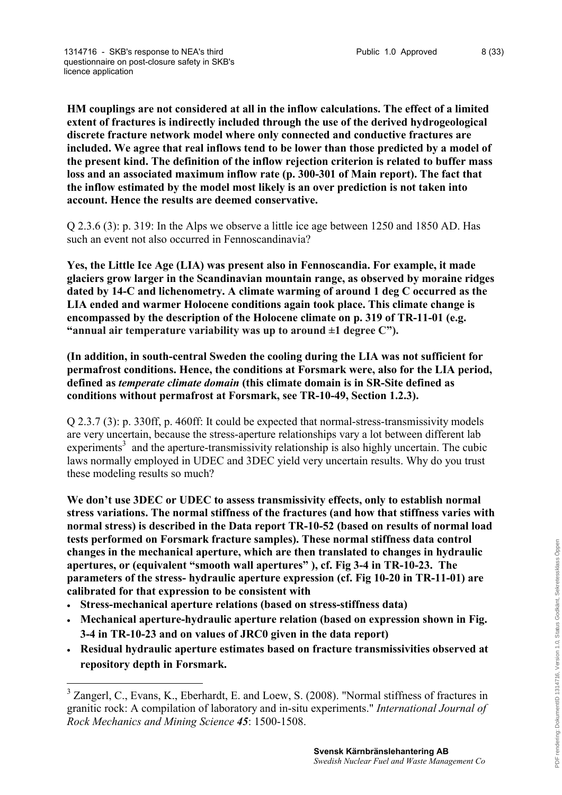**HM couplings are not considered at all in the inflow calculations. The effect of a limited extent of fractures is indirectly included through the use of the derived hydrogeological discrete fracture network model where only connected and conductive fractures are included. We agree that real inflows tend to be lower than those predicted by a model of the present kind. The definition of the inflow rejection criterion is related to buffer mass loss and an associated maximum inflow rate (p. 300-301 of Main report). The fact that the inflow estimated by the model most likely is an over prediction is not taken into account. Hence the results are deemed conservative.** 

Q 2.3.6 (3): p. 319: In the Alps we observe a little ice age between 1250 and 1850 AD. Has such an event not also occurred in Fennoscandinavia?

**Yes, the Little Ice Age (LIA) was present also in Fennoscandia. For example, it made glaciers grow larger in the Scandinavian mountain range, as observed by moraine ridges dated by 14-C and lichenometry. A climate warming of around 1 deg C occurred as the LIA ended and warmer Holocene conditions again took place. This climate change is encompassed by the description of the Holocene climate on p. 319 of TR-11-01 (e.g. "annual air temperature variability was up to around ±1 degree C").**

**(In addition, in south-central Sweden the cooling during the LIA was not sufficient for permafrost conditions. Hence, the conditions at Forsmark were, also for the LIA period, defined as** *temperate climate domain* **(this climate domain is in SR-Site defined as conditions without permafrost at Forsmark, see TR-10-49, Section 1.2.3).** 

Q 2.3.7 (3): p. 330ff, p. 460ff: It could be expected that normal-stress-transmissivity models are very uncertain, because the stress-aperture relationships vary a lot between different lab experiments<sup>[3](#page-7-0)</sup> and the aperture-transmissivity relationship is also highly uncertain. The cubic laws normally employed in UDEC and 3DEC yield very uncertain results. Why do you trust these modeling results so much?

**We don't use 3DEC or UDEC to assess transmissivity effects, only to establish normal stress variations. The normal stiffness of the fractures (and how that stiffness varies with normal stress) is described in the Data report TR-10-52 (based on results of normal load tests performed on Forsmark fracture samples). These normal stiffness data control changes in the mechanical aperture, which are then translated to changes in hydraulic apertures, or (equivalent "smooth wall apertures" ), cf. Fig 3-4 in TR-10-23. The parameters of the stress- hydraulic aperture expression (cf. Fig 10-20 in TR-11-01) are calibrated for that expression to be consistent with**

- **Stress-mechanical aperture relations (based on stress-stiffness data)**
- **Mechanical aperture-hydraulic aperture relation (based on expression shown in Fig. 3-4 in TR-10-23 and on values of JRC0 given in the data report)**
- **Residual hydraulic aperture estimates based on fracture transmissivities observed at repository depth in Forsmark.**

<span id="page-7-0"></span><sup>&</sup>lt;sup>3</sup> Zangerl, C., Evans, K., Eberhardt, E. and Loew, S. (2008). "Normal stiffness of fractures in granitic rock: A compilation of laboratory and in-situ experiments." *International Journal of Rock Mechanics and Mining Science 45*: 1500-1508.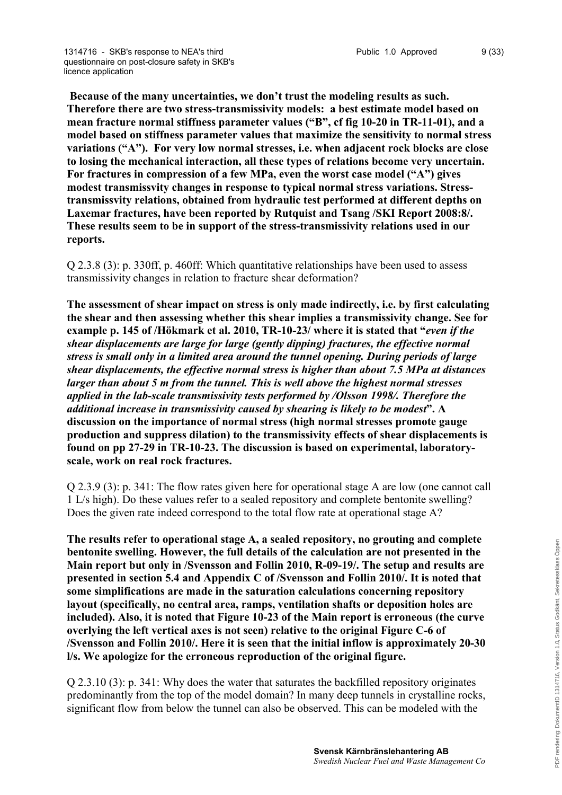**Because of the many uncertainties, we don't trust the modeling results as such. Therefore there are two stress-transmissivity models: a best estimate model based on mean fracture normal stiffness parameter values ("B", cf fig 10-20 in TR-11-01), and a model based on stiffness parameter values that maximize the sensitivity to normal stress variations ("A"). For very low normal stresses, i.e. when adjacent rock blocks are close to losing the mechanical interaction, all these types of relations become very uncertain. For fractures in compression of a few MPa, even the worst case model ("A") gives modest transmissvity changes in response to typical normal stress variations. Stresstransmissvity relations, obtained from hydraulic test performed at different depths on Laxemar fractures, have been reported by Rutquist and Tsang /SKI Report 2008:8/. These results seem to be in support of the stress-transmissivity relations used in our reports.**

Q 2.3.8 (3): p. 330ff, p. 460ff: Which quantitative relationships have been used to assess transmissivity changes in relation to fracture shear deformation?

**The assessment of shear impact on stress is only made indirectly, i.e. by first calculating the shear and then assessing whether this shear implies a transmissivity change. See for example p. 145 of /Hökmark et al. 2010, TR-10-23/ where it is stated that "***even if the shear displacements are large for large (gently dipping) fractures, the effective normal stress is small only in a limited area around the tunnel opening. During periods of large shear displacements, the effective normal stress is higher than about 7.5 MPa at distances larger than about 5 m from the tunnel. This is well above the highest normal stresses applied in the lab-scale transmissivity tests performed by /Olsson 1998/. Therefore the additional increase in transmissivity caused by shearing is likely to be modest***". A discussion on the importance of normal stress (high normal stresses promote gauge production and suppress dilation) to the transmissivity effects of shear displacements is found on pp 27-29 in TR-10-23. The discussion is based on experimental, laboratoryscale, work on real rock fractures.**

Q 2.3.9 (3): p. 341: The flow rates given here for operational stage A are low (one cannot call 1 L/s high). Do these values refer to a sealed repository and complete bentonite swelling? Does the given rate indeed correspond to the total flow rate at operational stage A?

**The results refer to operational stage A, a sealed repository, no grouting and complete bentonite swelling. However, the full details of the calculation are not presented in the Main report but only in /Svensson and Follin 2010, R-09-19/. The setup and results are presented in section 5.4 and Appendix C of /Svensson and Follin 2010/. It is noted that some simplifications are made in the saturation calculations concerning repository layout (specifically, no central area, ramps, ventilation shafts or deposition holes are included). Also, it is noted that Figure 10-23 of the Main report is erroneous (the curve overlying the left vertical axes is not seen) relative to the original Figure C-6 of /Svensson and Follin 2010/. Here it is seen that the initial inflow is approximately 20-30 l/s. We apologize for the erroneous reproduction of the original figure.**

Q 2.3.10 (3): p. 341: Why does the water that saturates the backfilled repository originates predominantly from the top of the model domain? In many deep tunnels in crystalline rocks, significant flow from below the tunnel can also be observed. This can be modeled with the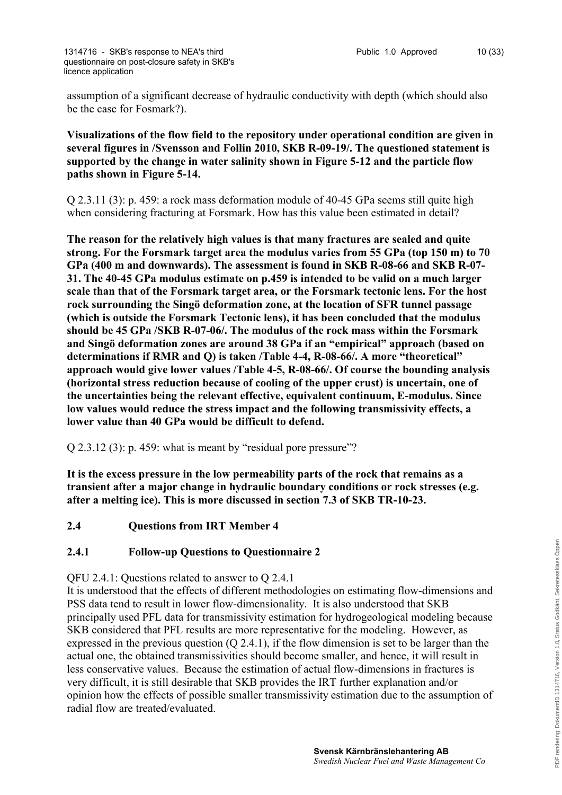assumption of a significant decrease of hydraulic conductivity with depth (which should also be the case for Fosmark?).

**Visualizations of the flow field to the repository under operational condition are given in several figures in /Svensson and Follin 2010, SKB R-09-19/. The questioned statement is supported by the change in water salinity shown in Figure 5-12 and the particle flow paths shown in Figure 5-14.**

Q 2.3.11 (3): p. 459: a rock mass deformation module of 40-45 GPa seems still quite high when considering fracturing at Forsmark. How has this value been estimated in detail?

**The reason for the relatively high values is that many fractures are sealed and quite strong. For the Forsmark target area the modulus varies from 55 GPa (top 150 m) to 70 GPa (400 m and downwards). The assessment is found in SKB R-08-66 and SKB R-07- 31. The 40-45 GPa modulus estimate on p.459 is intended to be valid on a much larger scale than that of the Forsmark target area, or the Forsmark tectonic lens. For the host rock surrounding the Singö deformation zone, at the location of SFR tunnel passage (which is outside the Forsmark Tectonic lens), it has been concluded that the modulus should be 45 GPa /SKB R-07-06/. The modulus of the rock mass within the Forsmark and Singö deformation zones are around 38 GPa if an "empirical" approach (based on determinations if RMR and Q) is taken /Table 4-4, R-08-66/. A more "theoretical" approach would give lower values /Table 4-5, R-08-66/. Of course the bounding analysis (horizontal stress reduction because of cooling of the upper crust) is uncertain, one of the uncertainties being the relevant effective, equivalent continuum, E-modulus. Since low values would reduce the stress impact and the following transmissivity effects, a lower value than 40 GPa would be difficult to defend.**

Q 2.3.12 (3): p. 459: what is meant by "residual pore pressure"?

**It is the excess pressure in the low permeability parts of the rock that remains as a transient after a major change in hydraulic boundary conditions or rock stresses (e.g. after a melting ice). This is more discussed in section 7.3 of SKB TR-10-23.**

**2.4 Questions from IRT Member 4**

## **2.4.1 Follow-up Questions to Questionnaire 2**

QFU 2.4.1: Questions related to answer to Q 2.4.1

It is understood that the effects of different methodologies on estimating flow-dimensions and PSS data tend to result in lower flow-dimensionality. It is also understood that SKB principally used PFL data for transmissivity estimation for hydrogeological modeling because SKB considered that PFL results are more representative for the modeling. However, as expressed in the previous question (Q 2.4.1), if the flow dimension is set to be larger than the actual one, the obtained transmissivities should become smaller, and hence, it will result in less conservative values. Because the estimation of actual flow-dimensions in fractures is very difficult, it is still desirable that SKB provides the IRT further explanation and/or opinion how the effects of possible smaller transmissivity estimation due to the assumption of radial flow are treated/evaluated.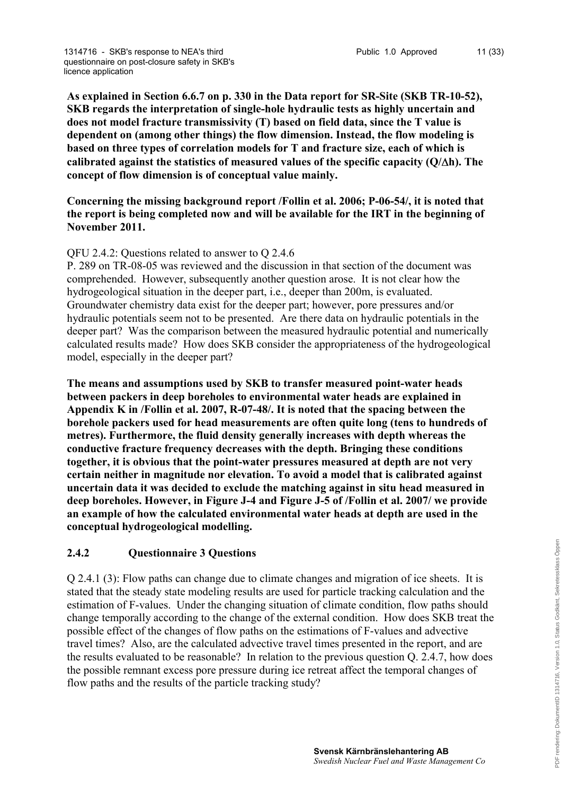**As explained in Section 6.6.7 on p. 330 in the Data report for SR-Site (SKB TR-10-52), SKB regards the interpretation of single-hole hydraulic tests as highly uncertain and does not model fracture transmissivity (T) based on field data, since the T value is dependent on (among other things) the flow dimension. Instead, the flow modeling is based on three types of correlation models for T and fracture size, each of which is calibrated against the statistics of measured values of the specific capacity (Q/h). The concept of flow dimension is of conceptual value mainly.**

## **Concerning the missing background report /Follin et al. 2006; P-06-54/, it is noted that the report is being completed now and will be available for the IRT in the beginning of November 2011.**

## QFU 2.4.2: Questions related to answer to Q 2.4.6

P. 289 on TR-08-05 was reviewed and the discussion in that section of the document was comprehended. However, subsequently another question arose. It is not clear how the hydrogeological situation in the deeper part, i.e., deeper than 200m, is evaluated. Groundwater chemistry data exist for the deeper part; however, pore pressures and/or hydraulic potentials seem not to be presented. Are there data on hydraulic potentials in the deeper part? Was the comparison between the measured hydraulic potential and numerically calculated results made? How does SKB consider the appropriateness of the hydrogeological model, especially in the deeper part?

**The means and assumptions used by SKB to transfer measured point-water heads between packers in deep boreholes to environmental water heads are explained in Appendix K in /Follin et al. 2007, R-07-48/. It is noted that the spacing between the borehole packers used for head measurements are often quite long (tens to hundreds of metres). Furthermore, the fluid density generally increases with depth whereas the conductive fracture frequency decreases with the depth. Bringing these conditions together, it is obvious that the point-water pressures measured at depth are not very certain neither in magnitude nor elevation. To avoid a model that is calibrated against uncertain data it was decided to exclude the matching against in situ head measured in deep boreholes. However, in Figure J-4 and Figure J-5 of /Follin et al. 2007/ we provide an example of how the calculated environmental water heads at depth are used in the conceptual hydrogeological modelling.**

## **2.4.2 Questionnaire 3 Questions**

Q 2.4.1 (3): Flow paths can change due to climate changes and migration of ice sheets. It is stated that the steady state modeling results are used for particle tracking calculation and the estimation of F-values. Under the changing situation of climate condition, flow paths should change temporally according to the change of the external condition. How does SKB treat the possible effect of the changes of flow paths on the estimations of F-values and advective travel times? Also, are the calculated advective travel times presented in the report, and are the results evaluated to be reasonable? In relation to the previous question Q. 2.4.7, how does the possible remnant excess pore pressure during ice retreat affect the temporal changes of flow paths and the results of the particle tracking study?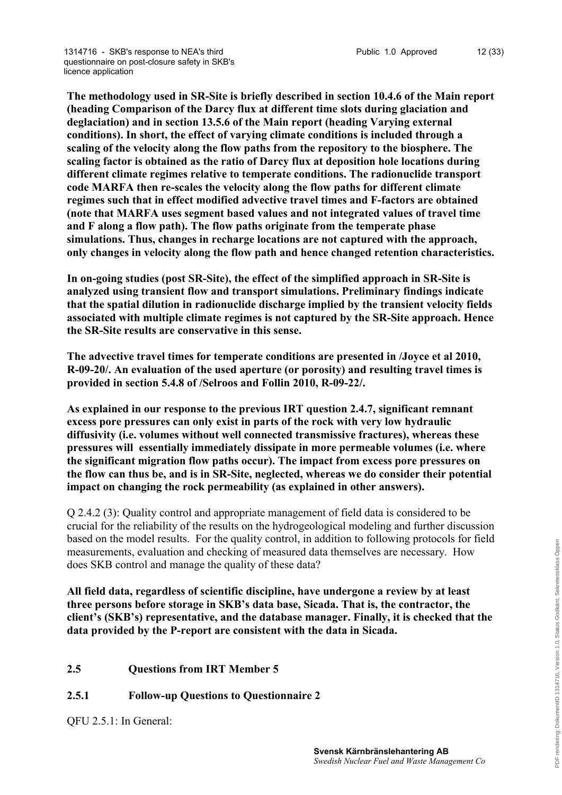**The methodology used in SR-Site is briefly described in section 10.4.6 of the Main report (heading Comparison of the Darcy flux at different time slots during glaciation and deglaciation) and in section 13.5.6 of the Main report (heading Varying external conditions). In short, the effect of varying climate conditions is included through a scaling of the velocity along the flow paths from the repository to the biosphere. The scaling factor is obtained as the ratio of Darcy flux at deposition hole locations during different climate regimes relative to temperate conditions. The radionuclide transport code MARFA then re-scales the velocity along the flow paths for different climate regimes such that in effect modified advective travel times and F-factors are obtained (note that MARFA uses segment based values and not integrated values of travel time and F along a flow path). The flow paths originate from the temperate phase simulations. Thus, changes in recharge locations are not captured with the approach, only changes in velocity along the flow path and hence changed retention characteristics.**

**In on-going studies (post SR-Site), the effect of the simplified approach in SR-Site is analyzed using transient flow and transport simulations. Preliminary findings indicate that the spatial dilution in radionuclide discharge implied by the transient velocity fields associated with multiple climate regimes is not captured by the SR-Site approach. Hence the SR-Site results are conservative in this sense.** 

**The advective travel times for temperate conditions are presented in /Joyce et al 2010, R-09-20/. An evaluation of the used aperture (or porosity) and resulting travel times is provided in section 5.4.8 of /Selroos and Follin 2010, R-09-22/.** 

**As explained in our response to the previous IRT question 2.4.7, significant remnant excess pore pressures can only exist in parts of the rock with very low hydraulic diffusivity (i.e. volumes without well connected transmissive fractures), whereas these pressures will essentially immediately dissipate in more permeable volumes (i.e. where the significant migration flow paths occur). The impact from excess pore pressures on the flow can thus be, and is in SR-Site, neglected, whereas we do consider their potential impact on changing the rock permeability (as explained in other answers).**

Q 2.4.2 (3): Quality control and appropriate management of field data is considered to be crucial for the reliability of the results on the hydrogeological modeling and further discussion based on the model results. For the quality control, in addition to following protocols for field measurements, evaluation and checking of measured data themselves are necessary. How does SKB control and manage the quality of these data?

**All field data, regardless of scientific discipline, have undergone a review by at least three persons before storage in SKB's data base, Sicada. That is, the contractor, the client's (SKB's) representative, and the database manager. Finally, it is checked that the data provided by the P-report are consistent with the data in Sicada.**

# **2.5 Questions from IRT Member 5**

## **2.5.1 Follow-up Questions to Questionnaire 2**

QFU 2.5.1: In General: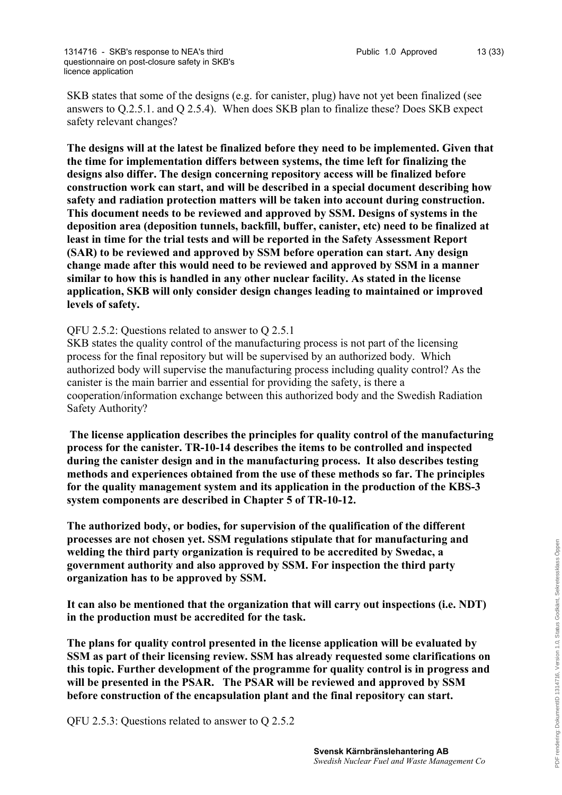SKB states that some of the designs (e.g. for canister, plug) have not yet been finalized (see answers to Q.2.5.1. and Q 2.5.4). When does SKB plan to finalize these? Does SKB expect safety relevant changes?

**The designs will at the latest be finalized before they need to be implemented. Given that the time for implementation differs between systems, the time left for finalizing the designs also differ. The design concerning repository access will be finalized before construction work can start, and will be described in a special document describing how safety and radiation protection matters will be taken into account during construction. This document needs to be reviewed and approved by SSM. Designs of systems in the deposition area (deposition tunnels, backfill, buffer, canister, etc) need to be finalized at least in time for the trial tests and will be reported in the Safety Assessment Report (SAR) to be reviewed and approved by SSM before operation can start. Any design change made after this would need to be reviewed and approved by SSM in a manner similar to how this is handled in any other nuclear facility. As stated in the license application, SKB will only consider design changes leading to maintained or improved levels of safety.**

## QFU 2.5.2: Questions related to answer to Q 2.5.1

SKB states the quality control of the manufacturing process is not part of the licensing process for the final repository but will be supervised by an authorized body. Which authorized body will supervise the manufacturing process including quality control? As the canister is the main barrier and essential for providing the safety, is there a cooperation/information exchange between this authorized body and the Swedish Radiation Safety Authority?

**The license application describes the principles for quality control of the manufacturing process for the canister. TR-10-14 describes the items to be controlled and inspected during the canister design and in the manufacturing process. It also describes testing methods and experiences obtained from the use of these methods so far. The principles for the quality management system and its application in the production of the KBS-3 system components are described in Chapter 5 of TR-10-12.** 

**The authorized body, or bodies, for supervision of the qualification of the different processes are not chosen yet. SSM regulations stipulate that for manufacturing and welding the third party organization is required to be accredited by Swedac, a government authority and also approved by SSM. For inspection the third party organization has to be approved by SSM.**

**It can also be mentioned that the organization that will carry out inspections (i.e. NDT) in the production must be accredited for the task.**

**The plans for quality control presented in the license application will be evaluated by SSM as part of their licensing review. SSM has already requested some clarifications on this topic. Further development of the programme for quality control is in progress and will be presented in the PSAR. The PSAR will be reviewed and approved by SSM before construction of the encapsulation plant and the final repository can start.**

QFU 2.5.3: Questions related to answer to Q 2.5.2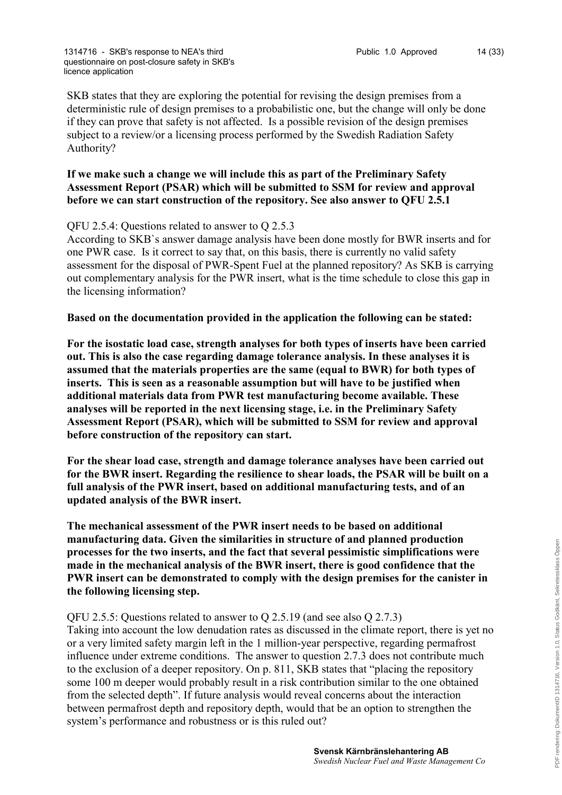SKB states that they are exploring the potential for revising the design premises from a deterministic rule of design premises to a probabilistic one, but the change will only be done if they can prove that safety is not affected. Is a possible revision of the design premises subject to a review/or a licensing process performed by the Swedish Radiation Safety Authority?

#### **If we make such a change we will include this as part of the Preliminary Safety Assessment Report (PSAR) which will be submitted to SSM for review and approval before we can start construction of the repository. See also answer to QFU 2.5.1**

## QFU 2.5.4: Questions related to answer to Q 2.5.3

According to SKB`s answer damage analysis have been done mostly for BWR inserts and for one PWR case. Is it correct to say that, on this basis, there is currently no valid safety assessment for the disposal of PWR-Spent Fuel at the planned repository? As SKB is carrying out complementary analysis for the PWR insert, what is the time schedule to close this gap in the licensing information?

#### **Based on the documentation provided in the application the following can be stated:**

**For the isostatic load case, strength analyses for both types of inserts have been carried out. This is also the case regarding damage tolerance analysis. In these analyses it is assumed that the materials properties are the same (equal to BWR) for both types of inserts. This is seen as a reasonable assumption but will have to be justified when additional materials data from PWR test manufacturing become available. These analyses will be reported in the next licensing stage, i.e. in the Preliminary Safety Assessment Report (PSAR), which will be submitted to SSM for review and approval before construction of the repository can start.**

**For the shear load case, strength and damage tolerance analyses have been carried out for the BWR insert. Regarding the resilience to shear loads, the PSAR will be built on a full analysis of the PWR insert, based on additional manufacturing tests, and of an updated analysis of the BWR insert.** 

**The mechanical assessment of the PWR insert needs to be based on additional manufacturing data. Given the similarities in structure of and planned production processes for the two inserts, and the fact that several pessimistic simplifications were made in the mechanical analysis of the BWR insert, there is good confidence that the PWR insert can be demonstrated to comply with the design premises for the canister in the following licensing step.**

#### QFU 2.5.5: Questions related to answer to Q 2.5.19 (and see also Q 2.7.3)

Taking into account the low denudation rates as discussed in the climate report, there is yet no or a very limited safety margin left in the 1 million-year perspective, regarding permafrost influence under extreme conditions. The answer to question 2.7.3 does not contribute much to the exclusion of a deeper repository. On p. 811, SKB states that "placing the repository some 100 m deeper would probably result in a risk contribution similar to the one obtained from the selected depth". If future analysis would reveal concerns about the interaction between permafrost depth and repository depth, would that be an option to strengthen the system's performance and robustness or is this ruled out?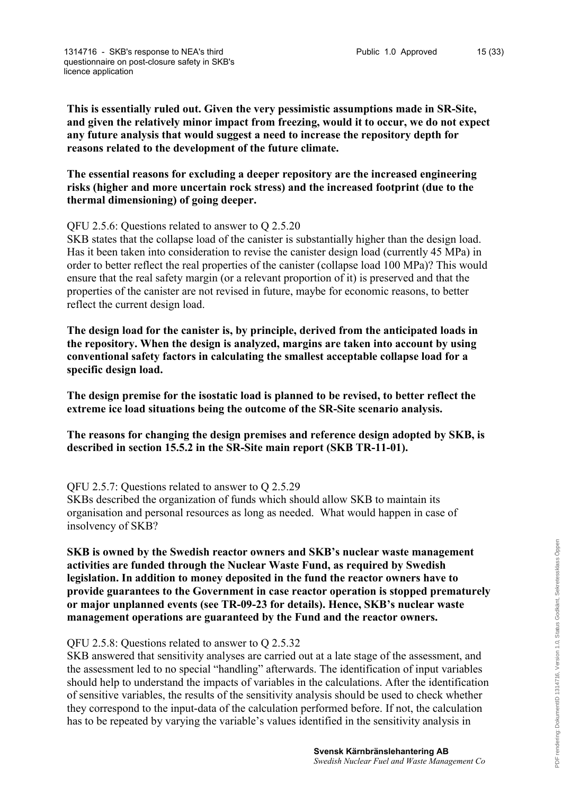**This is essentially ruled out. Given the very pessimistic assumptions made in SR-Site, and given the relatively minor impact from freezing, would it to occur, we do not expect any future analysis that would suggest a need to increase the repository depth for reasons related to the development of the future climate.** 

**The essential reasons for excluding a deeper repository are the increased engineering risks (higher and more uncertain rock stress) and the increased footprint (due to the thermal dimensioning) of going deeper.**

#### QFU 2.5.6: Questions related to answer to Q 2.5.20

SKB states that the collapse load of the canister is substantially higher than the design load. Has it been taken into consideration to revise the canister design load (currently 45 MPa) in order to better reflect the real properties of the canister (collapse load 100 MPa)? This would ensure that the real safety margin (or a relevant proportion of it) is preserved and that the properties of the canister are not revised in future, maybe for economic reasons, to better reflect the current design load.

**The design load for the canister is, by principle, derived from the anticipated loads in the repository. When the design is analyzed, margins are taken into account by using conventional safety factors in calculating the smallest acceptable collapse load for a specific design load.**

**The design premise for the isostatic load is planned to be revised, to better reflect the extreme ice load situations being the outcome of the SR-Site scenario analysis.**

**The reasons for changing the design premises and reference design adopted by SKB, is described in section 15.5.2 in the SR-Site main report (SKB TR-11-01).**

#### QFU 2.5.7: Questions related to answer to Q 2.5.29

SKBs described the organization of funds which should allow SKB to maintain its organisation and personal resources as long as needed. What would happen in case of insolvency of SKB?

**SKB is owned by the Swedish reactor owners and SKB's nuclear waste management activities are funded through the Nuclear Waste Fund, as required by Swedish legislation. In addition to money deposited in the fund the reactor owners have to provide guarantees to the Government in case reactor operation is stopped prematurely or major unplanned events (see TR-09-23 for details). Hence, SKB's nuclear waste management operations are guaranteed by the Fund and the reactor owners.** 

#### QFU 2.5.8: Questions related to answer to Q 2.5.32

SKB answered that sensitivity analyses are carried out at a late stage of the assessment, and the assessment led to no special "handling" afterwards. The identification of input variables should help to understand the impacts of variables in the calculations. After the identification of sensitive variables, the results of the sensitivity analysis should be used to check whether they correspond to the input-data of the calculation performed before. If not, the calculation has to be repeated by varying the variable's values identified in the sensitivity analysis in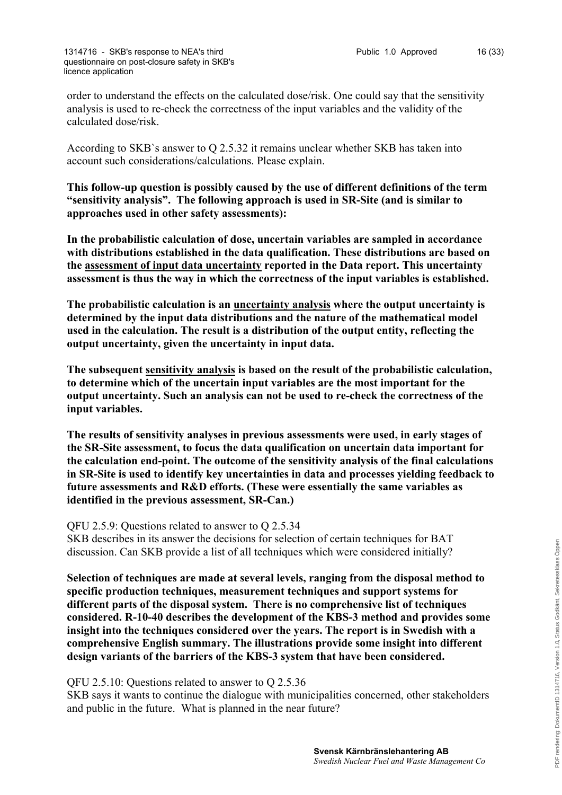order to understand the effects on the calculated dose/risk. One could say that the sensitivity analysis is used to re-check the correctness of the input variables and the validity of the calculated dose/risk.

According to SKB`s answer to Q 2.5.32 it remains unclear whether SKB has taken into account such considerations/calculations. Please explain.

**This follow-up question is possibly caused by the use of different definitions of the term "sensitivity analysis". The following approach is used in SR-Site (and is similar to approaches used in other safety assessments):**

**In the probabilistic calculation of dose, uncertain variables are sampled in accordance with distributions established in the data qualification. These distributions are based on the assessment of input data uncertainty reported in the Data report. This uncertainty assessment is thus the way in which the correctness of the input variables is established.** 

**The probabilistic calculation is an uncertainty analysis where the output uncertainty is determined by the input data distributions and the nature of the mathematical model used in the calculation. The result is a distribution of the output entity, reflecting the output uncertainty, given the uncertainty in input data.**

**The subsequent sensitivity analysis is based on the result of the probabilistic calculation, to determine which of the uncertain input variables are the most important for the output uncertainty. Such an analysis can not be used to re-check the correctness of the input variables.**

**The results of sensitivity analyses in previous assessments were used, in early stages of the SR-Site assessment, to focus the data qualification on uncertain data important for the calculation end-point. The outcome of the sensitivity analysis of the final calculations in SR-Site is used to identify key uncertainties in data and processes yielding feedback to future assessments and R&D efforts. (These were essentially the same variables as identified in the previous assessment, SR-Can.)**

QFU 2.5.9: Questions related to answer to Q 2.5.34

SKB describes in its answer the decisions for selection of certain techniques for BAT discussion. Can SKB provide a list of all techniques which were considered initially?

**Selection of techniques are made at several levels, ranging from the disposal method to specific production techniques, measurement techniques and support systems for different parts of the disposal system. There is no comprehensive list of techniques considered. R-10-40 describes the development of the KBS-3 method and provides some insight into the techniques considered over the years. The report is in Swedish with a comprehensive English summary. The illustrations provide some insight into different design variants of the barriers of the KBS-3 system that have been considered.**

QFU 2.5.10: Questions related to answer to Q 2.5.36

SKB says it wants to continue the dialogue with municipalities concerned, other stakeholders and public in the future. What is planned in the near future?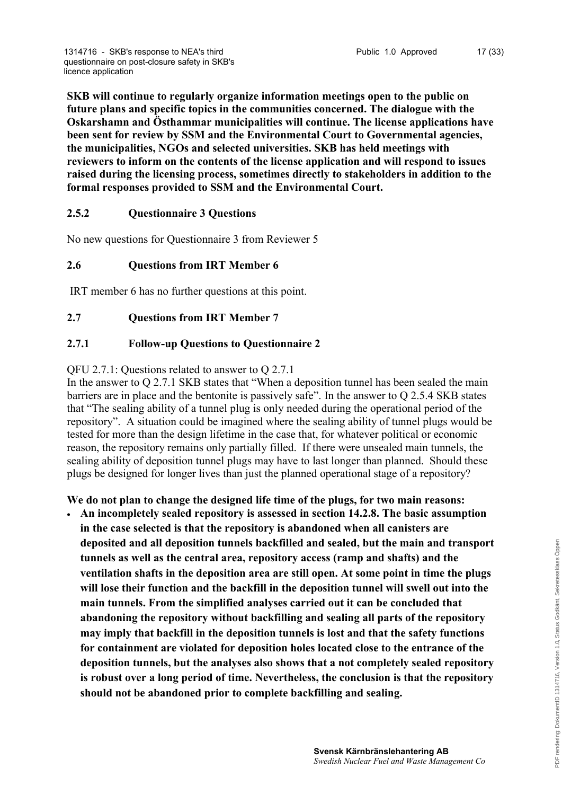**SKB will continue to regularly organize information meetings open to the public on future plans and specific topics in the communities concerned. The dialogue with the Oskarshamn and Östhammar municipalities will continue. The license applications have been sent for review by SSM and the Environmental Court to Governmental agencies, the municipalities, NGOs and selected universities. SKB has held meetings with reviewers to inform on the contents of the license application and will respond to issues raised during the licensing process, sometimes directly to stakeholders in addition to the formal responses provided to SSM and the Environmental Court.**

## **2.5.2 Questionnaire 3 Questions**

No new questions for Questionnaire 3 from Reviewer 5

## **2.6 Questions from IRT Member 6**

IRT member 6 has no further questions at this point.

## **2.7 Questions from IRT Member 7**

## **2.7.1 Follow-up Questions to Questionnaire 2**

QFU 2.7.1: Questions related to answer to Q 2.7.1

In the answer to Q 2.7.1 SKB states that "When a deposition tunnel has been sealed the main barriers are in place and the bentonite is passively safe". In the answer to Q 2.5.4 SKB states that "The sealing ability of a tunnel plug is only needed during the operational period of the repository". A situation could be imagined where the sealing ability of tunnel plugs would be tested for more than the design lifetime in the case that, for whatever political or economic reason, the repository remains only partially filled. If there were unsealed main tunnels, the sealing ability of deposition tunnel plugs may have to last longer than planned. Should these plugs be designed for longer lives than just the planned operational stage of a repository?

**We do not plan to change the designed life time of the plugs, for two main reasons:**

 **An incompletely sealed repository is assessed in section 14.2.8. The basic assumption in the case selected is that the repository is abandoned when all canisters are deposited and all deposition tunnels backfilled and sealed, but the main and transport tunnels as well as the central area, repository access (ramp and shafts) and the ventilation shafts in the deposition area are still open. At some point in time the plugs will lose their function and the backfill in the deposition tunnel will swell out into the main tunnels. From the simplified analyses carried out it can be concluded that abandoning the repository without backfilling and sealing all parts of the repository may imply that backfill in the deposition tunnels is lost and that the safety functions for containment are violated for deposition holes located close to the entrance of the deposition tunnels, but the analyses also shows that a not completely sealed repository is robust over a long period of time. Nevertheless, the conclusion is that the repository should not be abandoned prior to complete backfilling and sealing.**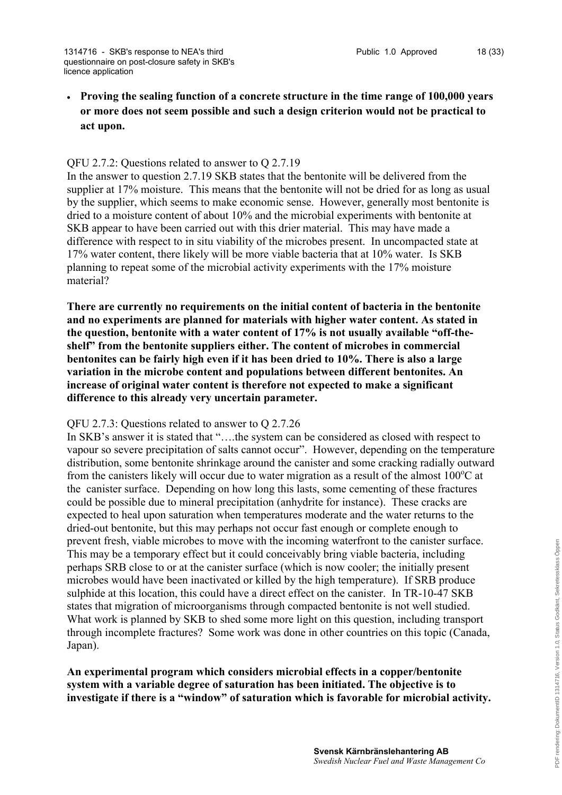**Proving the sealing function of a concrete structure in the time range of 100,000 years or more does not seem possible and such a design criterion would not be practical to act upon.**

#### QFU 2.7.2: Questions related to answer to Q 2.7.19

In the answer to question 2.7.19 SKB states that the bentonite will be delivered from the supplier at 17% moisture. This means that the bentonite will not be dried for as long as usual by the supplier, which seems to make economic sense. However, generally most bentonite is dried to a moisture content of about 10% and the microbial experiments with bentonite at SKB appear to have been carried out with this drier material. This may have made a difference with respect to in situ viability of the microbes present. In uncompacted state at 17% water content, there likely will be more viable bacteria that at 10% water. Is SKB planning to repeat some of the microbial activity experiments with the 17% moisture material?

**There are currently no requirements on the initial content of bacteria in the bentonite and no experiments are planned for materials with higher water content. As stated in the question, bentonite with a water content of 17% is not usually available "off-theshelf" from the bentonite suppliers either. The content of microbes in commercial bentonites can be fairly high even if it has been dried to 10%. There is also a large variation in the microbe content and populations between different bentonites. An increase of original water content is therefore not expected to make a significant difference to this already very uncertain parameter.**

#### QFU 2.7.3: Questions related to answer to Q 2.7.26

In SKB's answer it is stated that "....the system can be considered as closed with respect to vapour so severe precipitation of salts cannot occur". However, depending on the temperature distribution, some bentonite shrinkage around the canister and some cracking radially outward from the canisters likely will occur due to water migration as a result of the almost  $100^{\circ}$ C at the canister surface. Depending on how long this lasts, some cementing of these fractures could be possible due to mineral precipitation (anhydrite for instance). These cracks are expected to heal upon saturation when temperatures moderate and the water returns to the dried-out bentonite, but this may perhaps not occur fast enough or complete enough to prevent fresh, viable microbes to move with the incoming waterfront to the canister surface. This may be a temporary effect but it could conceivably bring viable bacteria, including perhaps SRB close to or at the canister surface (which is now cooler; the initially present microbes would have been inactivated or killed by the high temperature). If SRB produce sulphide at this location, this could have a direct effect on the canister. In TR-10-47 SKB states that migration of microorganisms through compacted bentonite is not well studied. What work is planned by SKB to shed some more light on this question, including transport through incomplete fractures? Some work was done in other countries on this topic (Canada, Japan).

## **An experimental program which considers microbial effects in a copper/bentonite system with a variable degree of saturation has been initiated. The objective is to investigate if there is a "window" of saturation which is favorable for microbial activity.**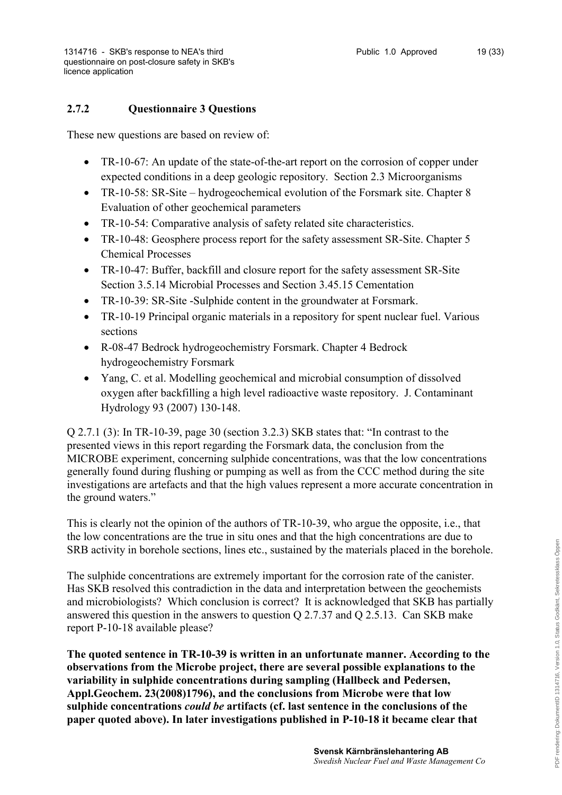# **2.7.2 Questionnaire 3 Questions**

These new questions are based on review of:

- TR-10-67: An update of the state-of-the-art report on the corrosion of copper under expected conditions in a deep geologic repository. Section 2.3 Microorganisms
- TR-10-58: SR-Site hydrogeochemical evolution of the Forsmark site. Chapter 8 Evaluation of other geochemical parameters
- TR-10-54: Comparative analysis of safety related site characteristics.
- TR-10-48: Geosphere process report for the safety assessment SR-Site. Chapter 5 Chemical Processes
- TR-10-47: Buffer, backfill and closure report for the safety assessment SR-Site Section 3.5.14 Microbial Processes and Section 3.45.15 Cementation
- TR-10-39: SR-Site -Sulphide content in the groundwater at Forsmark.
- TR-10-19 Principal organic materials in a repository for spent nuclear fuel. Various sections
- R-08-47 Bedrock hydrogeochemistry Forsmark. Chapter 4 Bedrock hydrogeochemistry Forsmark
- Yang, C. et al. Modelling geochemical and microbial consumption of dissolved oxygen after backfilling a high level radioactive waste repository. J. Contaminant Hydrology 93 (2007) 130-148.

Q 2.7.1 (3): In TR-10-39, page 30 (section 3.2.3) SKB states that: "In contrast to the presented views in this report regarding the Forsmark data, the conclusion from the MICROBE experiment, concerning sulphide concentrations, was that the low concentrations generally found during flushing or pumping as well as from the CCC method during the site investigations are artefacts and that the high values represent a more accurate concentration in the ground waters."

This is clearly not the opinion of the authors of TR-10-39, who argue the opposite, i.e., that the low concentrations are the true in situ ones and that the high concentrations are due to SRB activity in borehole sections, lines etc., sustained by the materials placed in the borehole.

The sulphide concentrations are extremely important for the corrosion rate of the canister. Has SKB resolved this contradiction in the data and interpretation between the geochemists and microbiologists? Which conclusion is correct? It is acknowledged that SKB has partially answered this question in the answers to question Q 2.7.37 and Q 2.5.13. Can SKB make report P-10-18 available please?

**The quoted sentence in TR-10-39 is written in an unfortunate manner. According to the observations from the Microbe project, there are several possible explanations to the variability in sulphide concentrations during sampling (Hallbeck and Pedersen, Appl.Geochem. 23(2008)1796), and the conclusions from Microbe were that low sulphide concentrations** *could be* **artifacts (cf. last sentence in the conclusions of the paper quoted above). In later investigations published in P-10-18 it became clear that**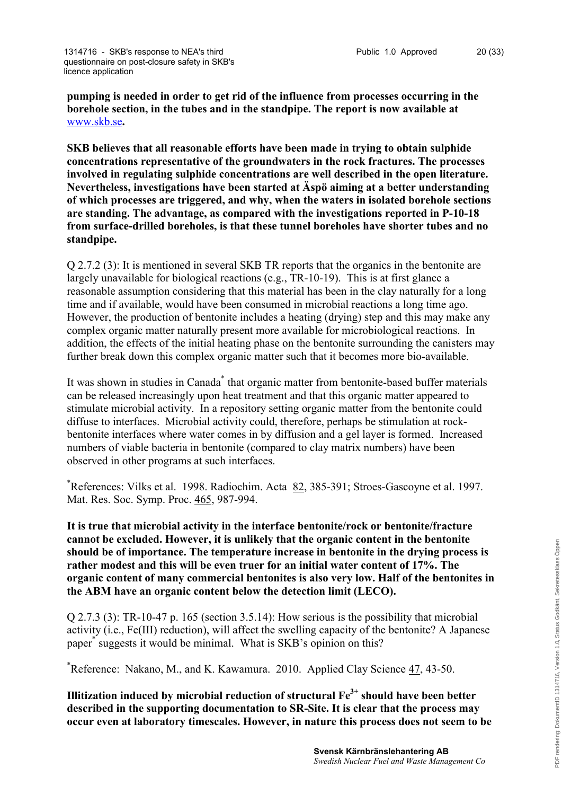**pumping is needed in order to get rid of the influence from processes occurring in the borehole section, in the tubes and in the standpipe. The report is now available at** [www.skb.se](http://www.skb.se)**.**

**SKB believes that all reasonable efforts have been made in trying to obtain sulphide concentrations representative of the groundwaters in the rock fractures. The processes involved in regulating sulphide concentrations are well described in the open literature. Nevertheless, investigations have been started at Äspö aiming at a better understanding of which processes are triggered, and why, when the waters in isolated borehole sections are standing. The advantage, as compared with the investigations reported in P-10-18 from surface-drilled boreholes, is that these tunnel boreholes have shorter tubes and no standpipe.**

Q 2.7.2 (3): It is mentioned in several SKB TR reports that the organics in the bentonite are largely unavailable for biological reactions (e.g., TR-10-19). This is at first glance a reasonable assumption considering that this material has been in the clay naturally for a long time and if available, would have been consumed in microbial reactions a long time ago. However, the production of bentonite includes a heating (drying) step and this may make any complex organic matter naturally present more available for microbiological reactions. In addition, the effects of the initial heating phase on the bentonite surrounding the canisters may further break down this complex organic matter such that it becomes more bio-available.

It was shown in studies in Canada<sup>\*</sup> that organic matter from bentonite-based buffer materials can be released increasingly upon heat treatment and that this organic matter appeared to stimulate microbial activity. In a repository setting organic matter from the bentonite could diffuse to interfaces. Microbial activity could, therefore, perhaps be stimulation at rockbentonite interfaces where water comes in by diffusion and a gel layer is formed. Increased numbers of viable bacteria in bentonite (compared to clay matrix numbers) have been observed in other programs at such interfaces.

\*References: Vilks et al. 1998. Radiochim. Acta 82, 385-391; Stroes-Gascoyne et al. 1997. Mat. Res. Soc. Symp. Proc. 465, 987-994.

**It is true that microbial activity in the interface bentonite/rock or bentonite/fracture cannot be excluded. However, it is unlikely that the organic content in the bentonite should be of importance. The temperature increase in bentonite in the drying process is rather modest and this will be even truer for an initial water content of 17%. The organic content of many commercial bentonites is also very low. Half of the bentonites in the ABM have an organic content below the detection limit (LECO).**

Q 2.7.3 (3): TR-10-47 p. 165 (section 3.5.14): How serious is the possibility that microbial activity (i.e., Fe(III) reduction), will affect the swelling capacity of the bentonite? A Japanese paper<sup>\*</sup> suggests it would be minimal. What is SKB's opinion on this?

\*Reference: Nakano, M., and K. Kawamura. 2010. Applied Clay Science 47, 43-50.

**Illitization induced by microbial reduction of structural Fe3+ should have been better described in the supporting documentation to SR-Site. It is clear that the process may occur even at laboratory timescales. However, in nature this process does not seem to be**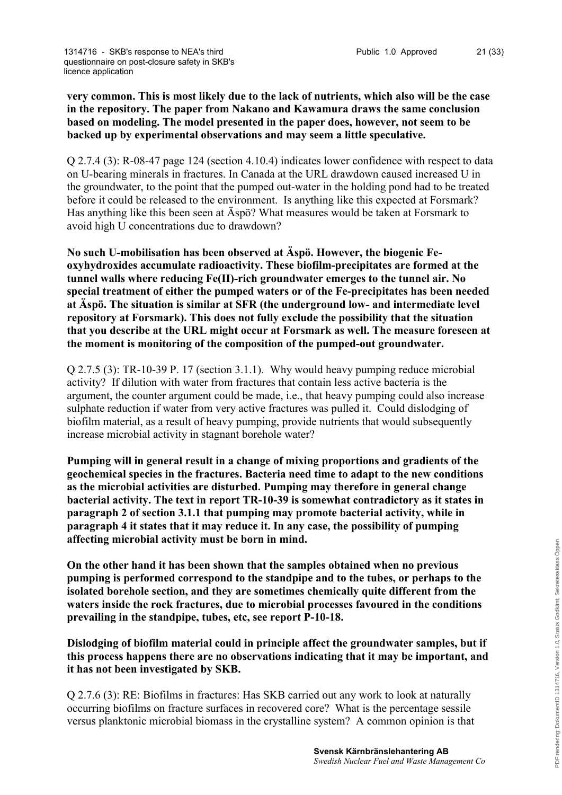## **very common. This is most likely due to the lack of nutrients, which also will be the case in the repository. The paper from Nakano and Kawamura draws the same conclusion based on modeling. The model presented in the paper does, however, not seem to be backed up by experimental observations and may seem a little speculative.**

Q 2.7.4 (3): R-08-47 page 124 (section 4.10.4) indicates lower confidence with respect to data on U-bearing minerals in fractures. In Canada at the URL drawdown caused increased U in the groundwater, to the point that the pumped out-water in the holding pond had to be treated before it could be released to the environment. Is anything like this expected at Forsmark? Has anything like this been seen at Äspö? What measures would be taken at Forsmark to avoid high U concentrations due to drawdown?

**No such U-mobilisation has been observed at Äspö. However, the biogenic Feoxyhydroxides accumulate radioactivity. These biofilm-precipitates are formed at the tunnel walls where reducing Fe(II)-rich groundwater emerges to the tunnel air. No special treatment of either the pumped waters or of the Fe-precipitates has been needed at Äspö. The situation is similar at SFR (the underground low- and intermediate level repository at Forsmark). This does not fully exclude the possibility that the situation that you describe at the URL might occur at Forsmark as well. The measure foreseen at the moment is monitoring of the composition of the pumped-out groundwater.** 

Q 2.7.5 (3): TR-10-39 P. 17 (section 3.1.1). Why would heavy pumping reduce microbial activity? If dilution with water from fractures that contain less active bacteria is the argument, the counter argument could be made, i.e., that heavy pumping could also increase sulphate reduction if water from very active fractures was pulled it. Could dislodging of biofilm material, as a result of heavy pumping, provide nutrients that would subsequently increase microbial activity in stagnant borehole water?

**Pumping will in general result in a change of mixing proportions and gradients of the geochemical species in the fractures. Bacteria need time to adapt to the new conditions as the microbial activities are disturbed. Pumping may therefore in general change bacterial activity. The text in report TR-10-39 is somewhat contradictory as it states in paragraph 2 of section 3.1.1 that pumping may promote bacterial activity, while in paragraph 4 it states that it may reduce it. In any case, the possibility of pumping affecting microbial activity must be born in mind.**

**On the other hand it has been shown that the samples obtained when no previous pumping is performed correspond to the standpipe and to the tubes, or perhaps to the isolated borehole section, and they are sometimes chemically quite different from the waters inside the rock fractures, due to microbial processes favoured in the conditions prevailing in the standpipe, tubes, etc, see report P-10-18.**

**Dislodging of biofilm material could in principle affect the groundwater samples, but if this process happens there are no observations indicating that it may be important, and it has not been investigated by SKB.**

Q 2.7.6 (3): RE: Biofilms in fractures: Has SKB carried out any work to look at naturally occurring biofilms on fracture surfaces in recovered core? What is the percentage sessile versus planktonic microbial biomass in the crystalline system? A common opinion is that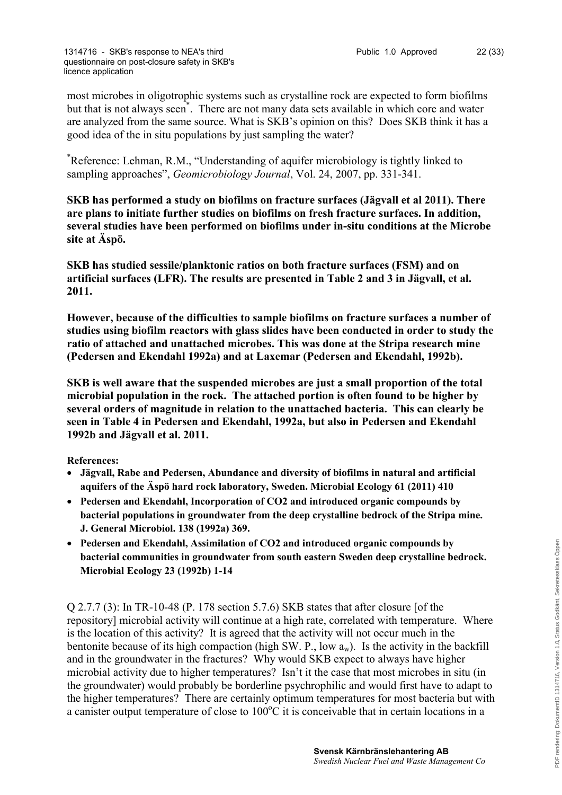most microbes in oligotrophic systems such as crystalline rock are expected to form biofilms but that is not always seen\* . There are not many data sets available in which core and water are analyzed from the same source. What is SKB's opinion on this? Does SKB think it has a good idea of the in situ populations by just sampling the water?

\*Reference: Lehman, R.M., "Understanding of aquifer microbiology is tightly linked to sampling approaches", *Geomicrobiology Journal*, Vol. 24, 2007, pp. 331-341.

**SKB has performed a study on biofilms on fracture surfaces (Jägvall et al 2011). There are plans to initiate further studies on biofilms on fresh fracture surfaces. In addition, several studies have been performed on biofilms under in-situ conditions at the Microbe site at Äspö.**

**SKB has studied sessile/planktonic ratios on both fracture surfaces (FSM) and on artificial surfaces (LFR). The results are presented in Table 2 and 3 in Jägvall, et al. 2011.**

**However, because of the difficulties to sample biofilms on fracture surfaces a number of studies using biofilm reactors with glass slides have been conducted in order to study the ratio of attached and unattached microbes. This was done at the Stripa research mine (Pedersen and Ekendahl 1992a) and at Laxemar (Pedersen and Ekendahl, 1992b).**

**SKB is well aware that the suspended microbes are just a small proportion of the total microbial population in the rock. The attached portion is often found to be higher by several orders of magnitude in relation to the unattached bacteria. This can clearly be seen in Table 4 in Pedersen and Ekendahl, 1992a, but also in Pedersen and Ekendahl 1992b and Jägvall et al. 2011.**

**References:**

- **Jägvall, Rabe and Pedersen, Abundance and diversity of biofilms in natural and artificial aquifers of the Äspö hard rock laboratory, Sweden. Microbial Ecology 61 (2011) 410**
- **Pedersen and Ekendahl, Incorporation of CO2 and introduced organic compounds by bacterial populations in groundwater from the deep crystalline bedrock of the Stripa mine. J. General Microbiol. 138 (1992a) 369.**
- **Pedersen and Ekendahl, Assimilation of CO2 and introduced organic compounds by bacterial communities in groundwater from south eastern Sweden deep crystalline bedrock. Microbial Ecology 23 (1992b) 1-14**

Q 2.7.7 (3): In TR-10-48 (P. 178 section 5.7.6) SKB states that after closure [of the repository] microbial activity will continue at a high rate, correlated with temperature. Where is the location of this activity? It is agreed that the activity will not occur much in the bentonite because of its high compaction (high SW. P., low  $a_w$ ). Is the activity in the backfill and in the groundwater in the fractures? Why would SKB expect to always have higher microbial activity due to higher temperatures? Isn't it the case that most microbes in situ (in the groundwater) would probably be borderline psychrophilic and would first have to adapt to the higher temperatures? There are certainly optimum temperatures for most bacteria but with a canister output temperature of close to  $100^{\circ}$ C it is conceivable that in certain locations in a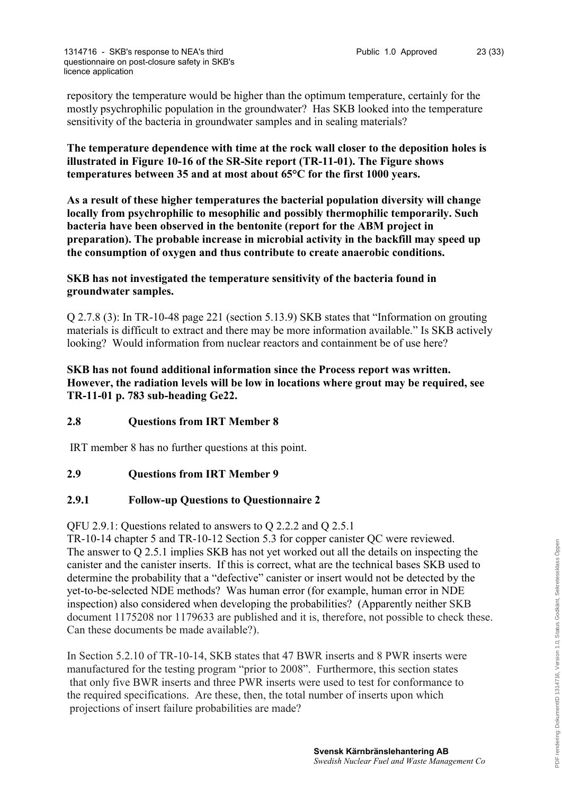repository the temperature would be higher than the optimum temperature, certainly for the mostly psychrophilic population in the groundwater? Has SKB looked into the temperature sensitivity of the bacteria in groundwater samples and in sealing materials?

**The temperature dependence with time at the rock wall closer to the deposition holes is illustrated in Figure 10-16 of the SR-Site report (TR-11-01). The Figure shows temperatures between 35 and at most about 65°C for the first 1000 years.**

**As a result of these higher temperatures the bacterial population diversity will change locally from psychrophilic to mesophilic and possibly thermophilic temporarily. Such bacteria have been observed in the bentonite (report for the ABM project in preparation). The probable increase in microbial activity in the backfill may speed up the consumption of oxygen and thus contribute to create anaerobic conditions.**

**SKB has not investigated the temperature sensitivity of the bacteria found in groundwater samples.**

Q 2.7.8 (3): In TR-10-48 page 221 (section 5.13.9) SKB states that "Information on grouting materials is difficult to extract and there may be more information available." Is SKB actively looking? Would information from nuclear reactors and containment be of use here?

**SKB has not found additional information since the Process report was written. However, the radiation levels will be low in locations where grout may be required, see TR-11-01 p. 783 sub-heading Ge22.**

## **2.8 Questions from IRT Member 8**

IRT member 8 has no further questions at this point.

## **2.9 Questions from IRT Member 9**

#### **2.9.1 Follow-up Questions to Questionnaire 2**

QFU 2.9.1: Questions related to answers to Q 2.2.2 and Q 2.5.1

TR-10-14 chapter 5 and TR-10-12 Section 5.3 for copper canister QC were reviewed. The answer to Q 2.5.1 implies SKB has not yet worked out all the details on inspecting the canister and the canister inserts. If this is correct, what are the technical bases SKB used to determine the probability that a "defective" canister or insert would not be detected by the yet-to-be-selected NDE methods? Was human error (for example, human error in NDE inspection) also considered when developing the probabilities? (Apparently neither SKB document 1175208 nor 1179633 are published and it is, therefore, not possible to check these. Can these documents be made available?).

In Section 5.2.10 of TR-10-14, SKB states that 47 BWR inserts and 8 PWR inserts were manufactured for the testing program "prior to 2008". Furthermore, this section states that only five BWR inserts and three PWR inserts were used to test for conformance to the required specifications. Are these, then, the total number of inserts upon which projections of insert failure probabilities are made?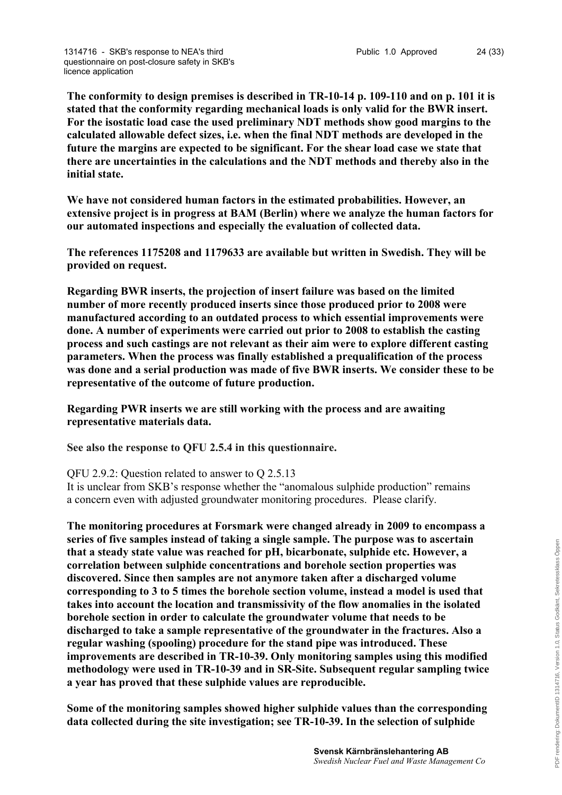**The conformity to design premises is described in TR-10-14 p. 109-110 and on p. 101 it is stated that the conformity regarding mechanical loads is only valid for the BWR insert. For the isostatic load case the used preliminary NDT methods show good margins to the calculated allowable defect sizes, i.e. when the final NDT methods are developed in the future the margins are expected to be significant. For the shear load case we state that there are uncertainties in the calculations and the NDT methods and thereby also in the initial state.**

**We have not considered human factors in the estimated probabilities. However, an extensive project is in progress at BAM (Berlin) where we analyze the human factors for our automated inspections and especially the evaluation of collected data.**

**The references 1175208 and 1179633 are available but written in Swedish. They will be provided on request.**

**Regarding BWR inserts, the projection of insert failure was based on the limited number of more recently produced inserts since those produced prior to 2008 were manufactured according to an outdated process to which essential improvements were done. A number of experiments were carried out prior to 2008 to establish the casting process and such castings are not relevant as their aim were to explore different casting parameters. When the process was finally established a prequalification of the process was done and a serial production was made of five BWR inserts. We consider these to be representative of the outcome of future production.** 

**Regarding PWR inserts we are still working with the process and are awaiting representative materials data.**

**See also the response to QFU 2.5.4 in this questionnaire.**

#### QFU 2.9.2: Question related to answer to Q 2.5.13

It is unclear from SKB's response whether the "anomalous sulphide production" remains a concern even with adjusted groundwater monitoring procedures. Please clarify.

**The monitoring procedures at Forsmark were changed already in 2009 to encompass a series of five samples instead of taking a single sample. The purpose was to ascertain that a steady state value was reached for pH, bicarbonate, sulphide etc. However, a correlation between sulphide concentrations and borehole section properties was discovered. Since then samples are not anymore taken after a discharged volume corresponding to 3 to 5 times the borehole section volume, instead a model is used that takes into account the location and transmissivity of the flow anomalies in the isolated borehole section in order to calculate the groundwater volume that needs to be discharged to take a sample representative of the groundwater in the fractures. Also a regular washing (spooling) procedure for the stand pipe was introduced. These improvements are described in TR-10-39. Only monitoring samples using this modified methodology were used in TR-10-39 and in SR-Site. Subsequent regular sampling twice a year has proved that these sulphide values are reproducible.**

**Some of the monitoring samples showed higher sulphide values than the corresponding data collected during the site investigation; see TR-10-39. In the selection of sulphide**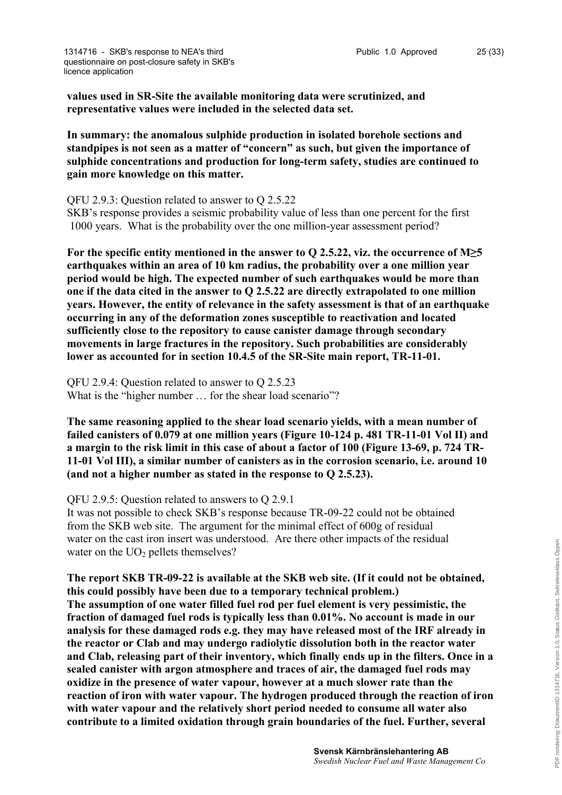**values used in SR-Site the available monitoring data were scrutinized, and representative values were included in the selected data set.**

**In summary: the anomalous sulphide production in isolated borehole sections and standpipes is not seen as a matter of "concern" as such, but given the importance of sulphide concentrations and production for long-term safety, studies are continued to gain more knowledge on this matter.**

QFU 2.9.3: Question related to answer to Q 2.5.22

SKB's response provides a seismic probability value of less than one percent for the first 1000 years. What is the probability over the one million-year assessment period?

**For the specific entity mentioned in the answer to Q 2.5.22, viz. the occurrence of M≥5 earthquakes within an area of 10 km radius, the probability over a one million year period would be high. The expected number of such earthquakes would be more than one if the data cited in the answer to Q 2.5.22 are directly extrapolated to one million years. However, the entity of relevance in the safety assessment is that of an earthquake occurring in any of the deformation zones susceptible to reactivation and located sufficiently close to the repository to cause canister damage through secondary movements in large fractures in the repository. Such probabilities are considerably lower as accounted for in section 10.4.5 of the SR-Site main report, TR-11-01.**

QFU 2.9.4: Question related to answer to Q 2.5.23 What is the "higher number ... for the shear load scenario"?

**The same reasoning applied to the shear load scenario yields, with a mean number of failed canisters of 0.079 at one million years (Figure 10-124 p. 481 TR-11-01 Vol II) and a margin to the risk limit in this case of about a factor of 100 (Figure 13-69, p. 724 TR-11-01 Vol III), a similar number of canisters as in the corrosion scenario, i.e. around 10 (and not a higher number as stated in the response to Q 2.5.23).** 

QFU 2.9.5: Question related to answers to Q 2.9.1

It was not possible to check SKB's response because TR-09-22 could not be obtained from the SKB web site. The argument for the minimal effect of 600g of residual water on the cast iron insert was understood. Are there other impacts of the residual water on the  $UO<sub>2</sub>$  pellets themselves?

**The report SKB TR-09-22 is available at the SKB web site. (If it could not be obtained, this could possibly have been due to a temporary technical problem.) The assumption of one water filled fuel rod per fuel element is very pessimistic, the fraction of damaged fuel rods is typically less than 0.01%. No account is made in our analysis for these damaged rods e.g. they may have released most of the IRF already in the reactor or Clab and may undergo radiolytic dissolution both in the reactor water and Clab, releasing part of their inventory, which finally ends up in the filters. Once in a sealed canister with argon atmosphere and traces of air, the damaged fuel rods may oxidize in the presence of water vapour, however at a much slower rate than the reaction of iron with water vapour. The hydrogen produced through the reaction of iron with water vapour and the relatively short period needed to consume all water also contribute to a limited oxidation through grain boundaries of the fuel. Further, several**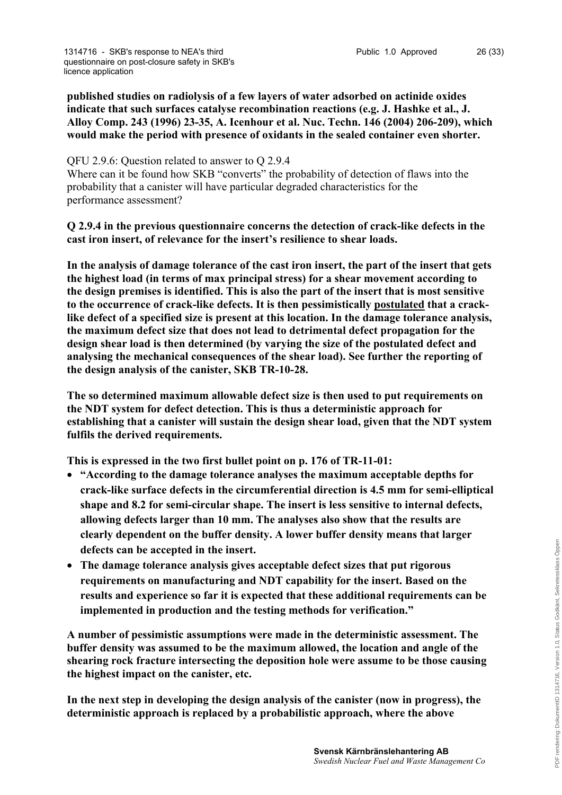**published studies on radiolysis of a few layers of water adsorbed on actinide oxides indicate that such surfaces catalyse recombination reactions (e.g. J. Hashke et al., J. Alloy Comp. 243 (1996) 23-35, A. Icenhour et al. Nuc. Techn. 146 (2004) 206-209), which would make the period with presence of oxidants in the sealed container even shorter.** 

#### QFU 2.9.6: Question related to answer to Q 2.9.4

Where can it be found how SKB "converts" the probability of detection of flaws into the probability that a canister will have particular degraded characteristics for the performance assessment?

## **Q 2.9.4 in the previous questionnaire concerns the detection of crack-like defects in the cast iron insert, of relevance for the insert's resilience to shear loads.**

**In the analysis of damage tolerance of the cast iron insert, the part of the insert that gets the highest load (in terms of max principal stress) for a shear movement according to the design premises is identified. This is also the part of the insert that is most sensitive to the occurrence of crack-like defects. It is then pessimistically postulated that a cracklike defect of a specified size is present at this location. In the damage tolerance analysis, the maximum defect size that does not lead to detrimental defect propagation for the design shear load is then determined (by varying the size of the postulated defect and analysing the mechanical consequences of the shear load). See further the reporting of the design analysis of the canister, SKB TR-10-28.**

**The so determined maximum allowable defect size is then used to put requirements on the NDT system for defect detection. This is thus a deterministic approach for establishing that a canister will sustain the design shear load, given that the NDT system fulfils the derived requirements.** 

**This is expressed in the two first bullet point on p. 176 of TR-11-01:**

- **"According to the damage tolerance analyses the maximum acceptable depths for crack-like surface defects in the circumferential direction is 4.5 mm for semi-elliptical shape and 8.2 for semi-circular shape. The insert is less sensitive to internal defects, allowing defects larger than 10 mm. The analyses also show that the results are clearly dependent on the buffer density. A lower buffer density means that larger defects can be accepted in the insert.**
- **The damage tolerance analysis gives acceptable defect sizes that put rigorous requirements on manufacturing and NDT capability for the insert. Based on the results and experience so far it is expected that these additional requirements can be implemented in production and the testing methods for verification."**

**A number of pessimistic assumptions were made in the deterministic assessment. The buffer density was assumed to be the maximum allowed, the location and angle of the shearing rock fracture intersecting the deposition hole were assume to be those causing the highest impact on the canister, etc.**

**In the next step in developing the design analysis of the canister (now in progress), the deterministic approach is replaced by a probabilistic approach, where the above**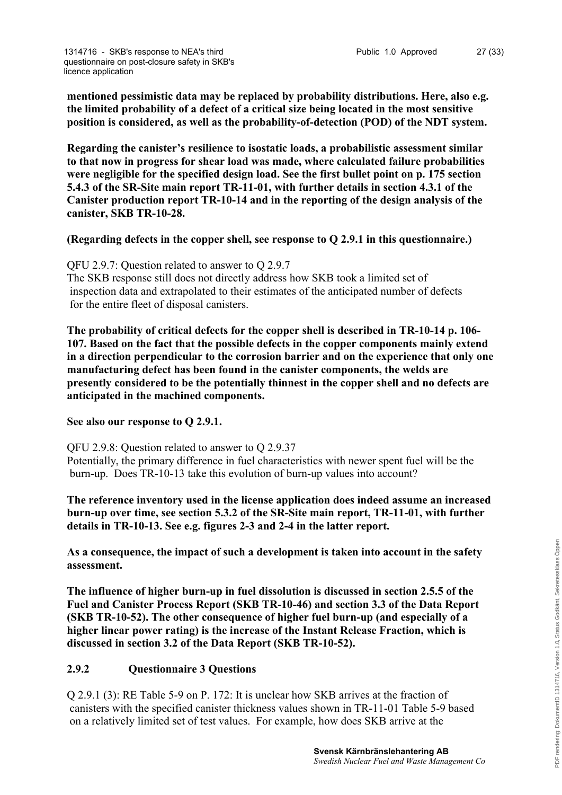**mentioned pessimistic data may be replaced by probability distributions. Here, also e.g. the limited probability of a defect of a critical size being located in the most sensitive position is considered, as well as the probability-of-detection (POD) of the NDT system.**

**Regarding the canister's resilience to isostatic loads, a probabilistic assessment similar to that now in progress for shear load was made, where calculated failure probabilities were negligible for the specified design load. See the first bullet point on p. 175 section 5.4.3 of the SR-Site main report TR-11-01, with further details in section 4.3.1 of the Canister production report TR-10-14 and in the reporting of the design analysis of the canister, SKB TR-10-28.** 

## **(Regarding defects in the copper shell, see response to Q 2.9.1 in this questionnaire.)**

QFU 2.9.7: Question related to answer to Q 2.9.7 The SKB response still does not directly address how SKB took a limited set of inspection data and extrapolated to their estimates of the anticipated number of defects for the entire fleet of disposal canisters.

**The probability of critical defects for the copper shell is described in TR-10-14 p. 106- 107. Based on the fact that the possible defects in the copper components mainly extend in a direction perpendicular to the corrosion barrier and on the experience that only one manufacturing defect has been found in the canister components, the welds are presently considered to be the potentially thinnest in the copper shell and no defects are anticipated in the machined components.**

**See also our response to Q 2.9.1.**

QFU 2.9.8: Question related to answer to Q 2.9.37

Potentially, the primary difference in fuel characteristics with newer spent fuel will be the burn-up. Does TR-10-13 take this evolution of burn-up values into account?

**The reference inventory used in the license application does indeed assume an increased burn-up over time, see section 5.3.2 of the SR-Site main report, TR-11-01, with further details in TR-10-13. See e.g. figures 2-3 and 2-4 in the latter report.** 

**As a consequence, the impact of such a development is taken into account in the safety assessment.**

**The influence of higher burn-up in fuel dissolution is discussed in section 2.5.5 of the Fuel and Canister Process Report (SKB TR-10-46) and section 3.3 of the Data Report (SKB TR-10-52). The other consequence of higher fuel burn-up (and especially of a higher linear power rating) is the increase of the Instant Release Fraction, which is discussed in section 3.2 of the Data Report (SKB TR-10-52).**

## **2.9.2 Questionnaire 3 Questions**

Q 2.9.1 (3): RE Table 5-9 on P. 172: It is unclear how SKB arrives at the fraction of canisters with the specified canister thickness values shown in TR-11-01 Table 5-9 based on a relatively limited set of test values. For example, how does SKB arrive at the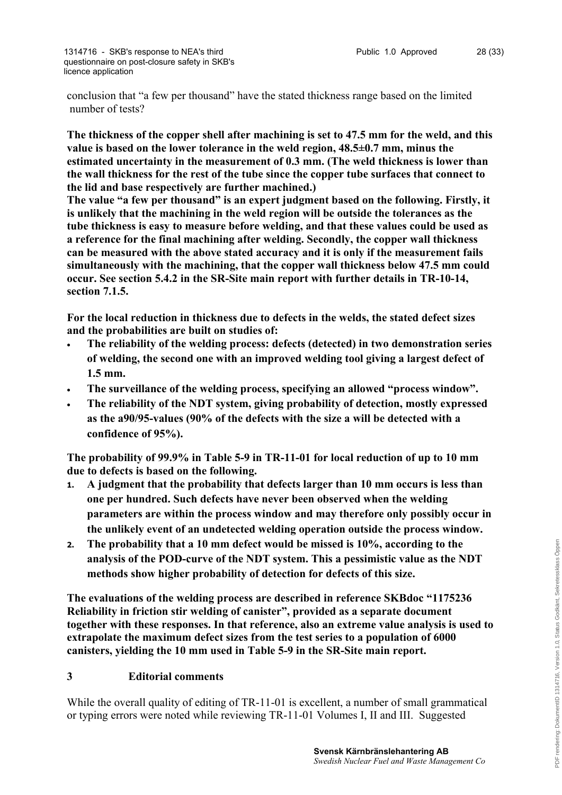conclusion that "a few per thousand" have the stated thickness range based on the limited number of tests?

**The thickness of the copper shell after machining is set to 47.5 mm for the weld, and this value is based on the lower tolerance in the weld region, 48.5±0.7 mm, minus the estimated uncertainty in the measurement of 0.3 mm. (The weld thickness is lower than the wall thickness for the rest of the tube since the copper tube surfaces that connect to the lid and base respectively are further machined.)**

**The value "a few per thousand" is an expert judgment based on the following. Firstly, it is unlikely that the machining in the weld region will be outside the tolerances as the tube thickness is easy to measure before welding, and that these values could be used as a reference for the final machining after welding. Secondly, the copper wall thickness can be measured with the above stated accuracy and it is only if the measurement fails simultaneously with the machining, that the copper wall thickness below 47.5 mm could occur. See section 5.4.2 in the SR-Site main report with further details in TR-10-14, section 7.1.5.**

**For the local reduction in thickness due to defects in the welds, the stated defect sizes and the probabilities are built on studies of:**

- **The reliability of the welding process: defects (detected) in two demonstration series of welding, the second one with an improved welding tool giving a largest defect of 1.5 mm.**
- **The surveillance of the welding process, specifying an allowed "process window".**
- **The reliability of the NDT system, giving probability of detection, mostly expressed as the a90/95-values (90% of the defects with the size a will be detected with a confidence of 95%).**

**The probability of 99.9% in Table 5-9 in TR-11-01 for local reduction of up to 10 mm due to defects is based on the following.**

- **1. A judgment that the probability that defects larger than 10 mm occurs is less than one per hundred. Such defects have never been observed when the welding parameters are within the process window and may therefore only possibly occur in the unlikely event of an undetected welding operation outside the process window.**
- **2. The probability that a 10 mm defect would be missed is 10%, according to the analysis of the POD-curve of the NDT system. This a pessimistic value as the NDT methods show higher probability of detection for defects of this size.**

**The evaluations of the welding process are described in reference SKBdoc "1175236 Reliability in friction stir welding of canister", provided as a separate document together with these responses. In that reference, also an extreme value analysis is used to extrapolate the maximum defect sizes from the test series to a population of 6000 canisters, yielding the 10 mm used in Table 5-9 in the SR-Site main report.**

## **3 Editorial comments**

While the overall quality of editing of TR-11-01 is excellent, a number of small grammatical or typing errors were noted while reviewing TR-11-01 Volumes I, II and III. Suggested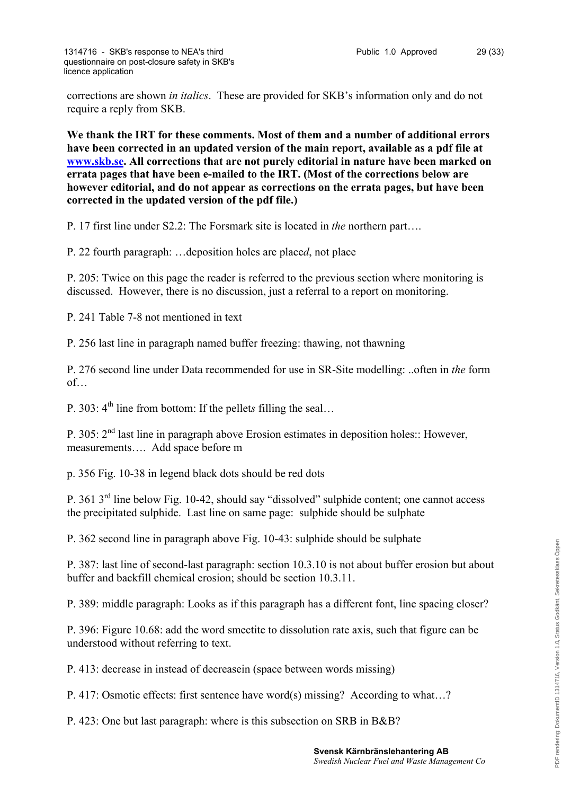corrections are shown *in italics*. These are provided for SKB's information only and do not require a reply from SKB.

**We thank the IRT for these comments. Most of them and a number of additional errors have been corrected in an updated version of the main report, available as a pdf file at [www.skb.se.](http://www.skb.se) All corrections that are not purely editorial in nature have been marked on errata pages that have been e-mailed to the IRT. (Most of the corrections below are however editorial, and do not appear as corrections on the errata pages, but have been corrected in the updated version of the pdf file.)**

P. 17 first line under S2.2: The Forsmark site is located in *the* northern part….

P. 22 fourth paragraph: …deposition holes are place*d*, not place

P. 205: Twice on this page the reader is referred to the previous section where monitoring is discussed. However, there is no discussion, just a referral to a report on monitoring.

P. 241 Table 7-8 not mentioned in text

P. 256 last line in paragraph named buffer freezing: thawing, not thawning

P. 276 second line under Data recommended for use in SR-Site modelling: ..often in *the* form of…

P. 303: 4<sup>th</sup> line from bottom: If the pellets filling the seal...

P. 305:  $2<sup>nd</sup>$  last line in paragraph above Erosion estimates in deposition holes:: However, measurements…. Add space before m

p. 356 Fig. 10-38 in legend black dots should be red dots

P. 361 3rd line below Fig. 10-42, should say "dissolved" sulphide content; one cannot access the precipitated sulphide. Last line on same page: sulphide should be sulphate

P. 362 second line in paragraph above Fig. 10-43: sulphide should be sulphate

P. 387: last line of second-last paragraph: section 10.3.10 is not about buffer erosion but about buffer and backfill chemical erosion; should be section 10.3.11.

P. 389: middle paragraph: Looks as if this paragraph has a different font, line spacing closer?

P. 396: Figure 10.68: add the word smectite to dissolution rate axis, such that figure can be understood without referring to text.

P. 413: decrease in instead of decreasein (space between words missing)

P. 417: Osmotic effects: first sentence have word(s) missing? According to what…?

P. 423: One but last paragraph: where is this subsection on SRB in B&B?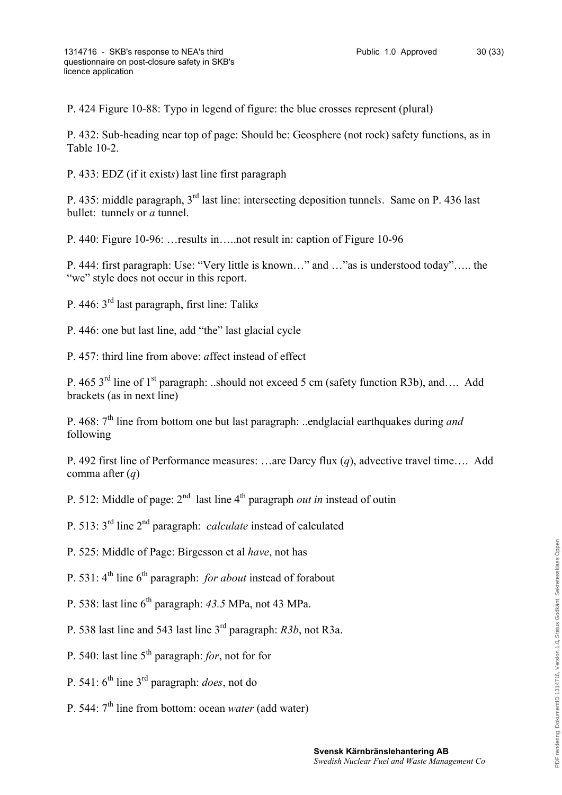P. 424 Figure 10-88: Typo in legend of figure: the blue crosses represent (plural)

P. 432: Sub-heading near top of page: Should be: Geosphere (not rock) safety functions, as in Table 10-2.

P. 433: EDZ (if it exist*s*) last line first paragraph

P. 435: middle paragraph, 3rd last line: intersecting deposition tunnel*s*. Same on P. 436 last bullet: tunnel*s* or *a* tunnel.

P. 440: Figure 10-96: …result*s* in…..not result in: caption of Figure 10-96

P. 444: first paragraph: Use: "Very little is known…" and …"as is understood today"….. the "we" style does not occur in this report.

P. 446: 3rd last paragraph, first line: Talik*s*

P. 446: one but last line, add "the" last glacial cycle

P. 457: third line from above: *a*ffect instead of effect

P. 465 3<sup>rd</sup> line of 1<sup>st</sup> paragraph: ..should not exceed 5 cm (safety function R3b), and…. Add brackets (as in next line)

P. 468: 7<sup>th</sup> line from bottom one but last paragraph: ..endglacial earthquakes during *and* following

P. 492 first line of Performance measures: …are Darcy flux (*q*), advective travel time…. Add comma after (*q*)

P. 512: Middle of page: 2<sup>nd</sup> last line 4<sup>th</sup> paragraph *out in* instead of outin

P. 513: 3rd line 2nd paragraph: *calculate* instead of calculated

P. 525: Middle of Page: Birgesson et al *have*, not has

P. 531: 4<sup>th</sup> line 6<sup>th</sup> paragraph: *for about* instead of forabout

- P. 538: last line 6th paragraph: *43.5* MPa, not 43 MPa.
- P. 538 last line and 543 last line 3rd paragraph: *R3b*, not R3a.
- P. 540: last line  $5<sup>th</sup>$  paragraph: *for*, not for for
- P. 541: 6th line 3rd paragraph: *does*, not do
- P. 544:  $7<sup>th</sup>$  line from bottom: ocean *water* (add water)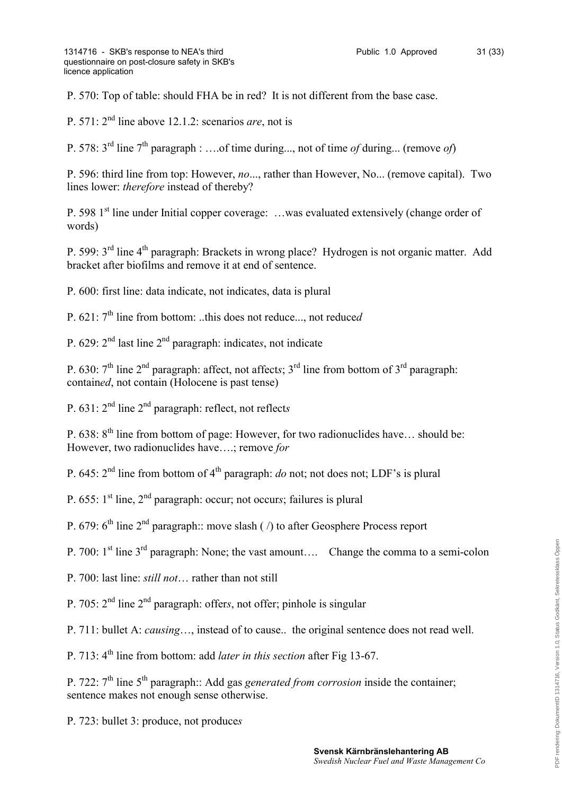P. 570: Top of table: should FHA be in red? It is not different from the base case.

P. 571: 2nd line above 12.1.2: scenarios *are*, not is

P. 578: 3rd line 7th paragraph : ….of time during..., not of time *of* during... (remove *of*)

P. 596: third line from top: However, *no*..., rather than However, No... (remove capital). Two lines lower: *therefore* instead of thereby?

P. 598  $1<sup>st</sup>$  line under Initial copper coverage: ... was evaluated extensively (change order of words)

P. 599: 3rd line 4th paragraph: Brackets in wrong place? Hydrogen is not organic matter. Add bracket after biofilms and remove it at end of sentence.

P. 600: first line: data indicate, not indicates, data is plural

P. 621: 7th line from bottom: ..this does not reduce..., not reduce*d*

P. 629: 2nd last line 2nd paragraph: indicate*s*, not indicate

P. 630:  $7<sup>th</sup>$  line  $2<sup>nd</sup>$  paragraph: affect, not affects;  $3<sup>rd</sup>$  line from bottom of  $3<sup>rd</sup>$  paragraph: contain*ed*, not contain (Holocene is past tense)

P. 631: 2nd line 2nd paragraph: reflect, not reflect*s*

P. 638: 8<sup>th</sup> line from bottom of page: However, for two radionuclides have... should be: However, two radionuclides have….; remove *for*

P. 645: 2nd line from bottom of 4th paragraph: *do* not; not does not; LDF's is plural

P. 655: 1<sup>st</sup> line, 2<sup>nd</sup> paragraph: occur; not occurs; failures is plural

P. 679:  $6<sup>th</sup>$  line  $2<sup>nd</sup>$  paragraph:: move slash ( /) to after Geosphere Process report

P. 700: 1<sup>st</sup> line 3<sup>rd</sup> paragraph: None; the vast amount…. Change the comma to a semi-colon

P. 700: last line: *still not*… rather than not still

P. 705: 2nd line 2nd paragraph: offer*s*, not offer; pinhole is singular

P. 711: bullet A: *causing*…, instead of to cause.. the original sentence does not read well.

P. 713: 4<sup>th</sup> line from bottom: add *later in this section* after Fig 13-67.

P. 722: 7<sup>th</sup> line 5<sup>th</sup> paragraph:: Add gas *generated from corrosion* inside the container; sentence makes not enough sense otherwise.

P. 723: bullet 3: produce, not produce*s*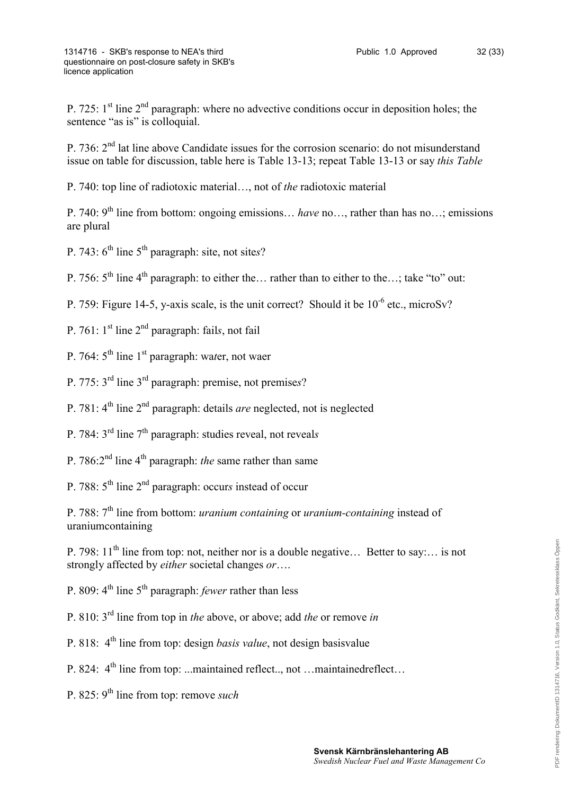P. 725:  $1<sup>st</sup>$  line  $2<sup>nd</sup>$  paragraph: where no advective conditions occur in deposition holes; the sentence "as is" is colloquial.

P. 736:  $2<sup>nd</sup>$  lat line above Candidate issues for the corrosion scenario: do not misunderstand issue on table for discussion, table here is Table 13-13; repeat Table 13-13 or say *this Table*

P. 740: top line of radiotoxic material…, not of *the* radiotoxic material

P. 740: 9th line from bottom: ongoing emissions… *have* no…, rather than has no…; emissions are plural

P. 743: 6th line 5th paragraph: site, not site*s*?

P. 756:  $5<sup>th</sup>$  line  $4<sup>th</sup>$  paragraph: to either the… rather than to either to the…; take "to" out:

P. 759: Figure 14-5, y-axis scale, is the unit correct? Should it be  $10^{-6}$  etc., microSv?

- P. 761: 1st line 2nd paragraph: fail*s*, not fail
- P. 764: 5th line 1st paragraph: wa*t*er, not waer
- P. 775: 3rd line 3rd paragraph: premise, not premise*s*?
- P. 781: 4th line 2nd paragraph: details *are* neglected, not is neglected
- P. 784: 3rd line 7th paragraph: studies reveal, not reveal*s*
- P. 786:2nd line 4th paragraph: *the* same rather than same
- P. 788: 5th line 2nd paragraph: occur*s* instead of occur

P. 788: 7th line from bottom: *uranium containing* or *uranium-containing* instead of uraniumcontaining

P. 798:  $11<sup>th</sup>$  line from top: not, neither nor is a double negative... Better to say:... is not strongly affected by *either* societal changes *or*….

P. 809: 4<sup>th</sup> line 5<sup>th</sup> paragraph: *fewer* rather than less

P. 810: 3rd line from top in *the* above, or above; add *the* or remove *in*

P. 818: 4th line from top: design *basis value*, not design basisvalue

- P. 824:  $4^{\text{th}}$  line from top: ...maintained reflect... not …maintainedreflect…
- P. 825: 9<sup>th</sup> line from top: remove *such*